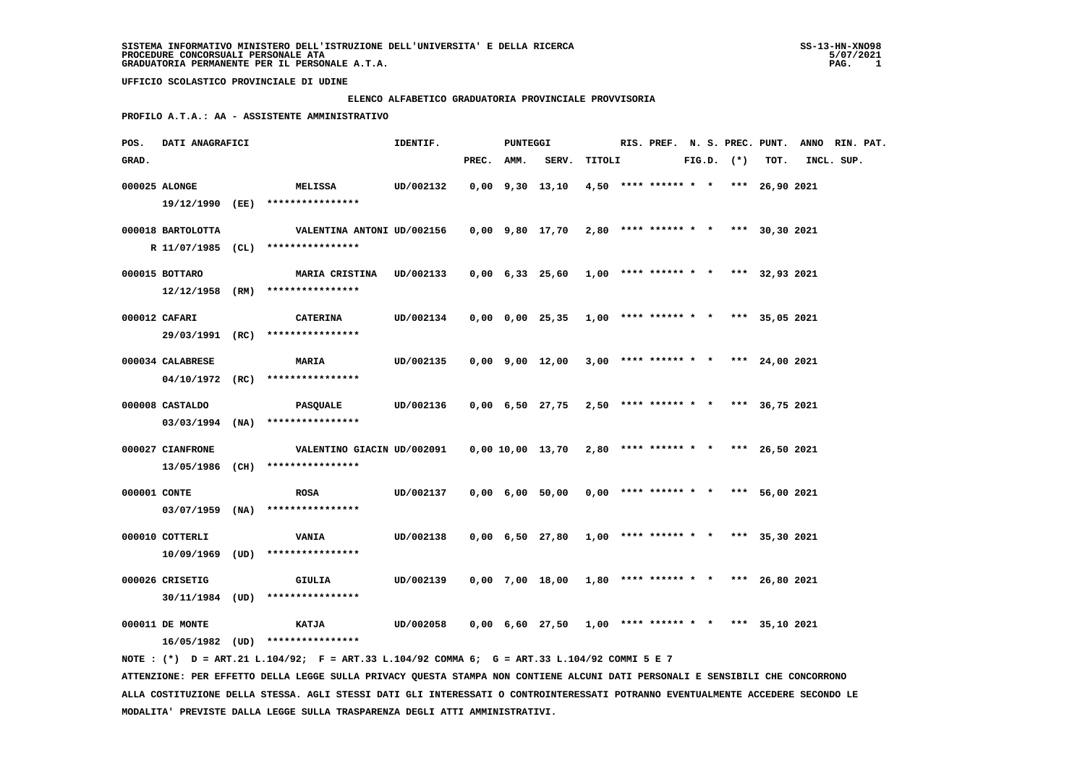#### **ELENCO ALFABETICO GRADUATORIA PROVINCIALE PROVVISORIA**

 **PROFILO A.T.A.: AA - ASSISTENTE AMMINISTRATIVO**

| POS.         | DATI ANAGRAFICI   |                                                                                             | IDENTIF.  |            | <b>PUNTEGGI</b> |                                                             |        |  |  |                |                                       | RIS. PREF. N. S. PREC. PUNT. ANNO RIN. PAT. |            |  |
|--------------|-------------------|---------------------------------------------------------------------------------------------|-----------|------------|-----------------|-------------------------------------------------------------|--------|--|--|----------------|---------------------------------------|---------------------------------------------|------------|--|
| GRAD.        |                   |                                                                                             |           | PREC. AMM. |                 | SERV.                                                       | TITOLI |  |  | $FIG.D.$ $(*)$ | TOT.                                  |                                             | INCL. SUP. |  |
|              | 000025 ALONGE     | <b>MELISSA</b>                                                                              | UD/002132 |            |                 | 0,00 9,30 13,10                                             |        |  |  |                | $4,50$ **** ****** * * *** 26,90 2021 |                                             |            |  |
|              |                   | 19/12/1990 (EE) *****************                                                           |           |            |                 |                                                             |        |  |  |                |                                       |                                             |            |  |
|              | 000018 BARTOLOTTA | VALENTINA ANTONI UD/002156                                                                  |           |            |                 | $0,00$ $9,80$ $17,70$ $2,80$ **** ****** * * *** 30,30 2021 |        |  |  |                |                                       |                                             |            |  |
|              |                   | R 11/07/1985 (CL) ****************                                                          |           |            |                 |                                                             |        |  |  |                |                                       |                                             |            |  |
|              |                   |                                                                                             |           |            |                 |                                                             |        |  |  |                |                                       |                                             |            |  |
|              | 000015 BOTTARO    | MARIA CRISTINA UD/002133                                                                    |           |            |                 | $0,00$ 6,33 25,60 1,00 **** ****** * *** 32,93 2021         |        |  |  |                |                                       |                                             |            |  |
|              |                   | $12/12/1958$ (RM) ****************                                                          |           |            |                 |                                                             |        |  |  |                |                                       |                                             |            |  |
|              | 000012 CAFARI     | <b>CATERINA</b>                                                                             | UD/002134 |            |                 | $0,00$ $0,00$ $25,35$ $1,00$ **** ****** * *** 35,05 2021   |        |  |  |                |                                       |                                             |            |  |
|              |                   | 29/03/1991 (RC) ****************                                                            |           |            |                 |                                                             |        |  |  |                |                                       |                                             |            |  |
|              | 000034 CALABRESE  | <b>MARIA</b>                                                                                | UD/002135 |            |                 | $0,00$ $9,00$ $12,00$ $3,00$ **** ****** * * *** 24,00 2021 |        |  |  |                |                                       |                                             |            |  |
|              |                   | $04/10/1972$ (RC) *****************                                                         |           |            |                 |                                                             |        |  |  |                |                                       |                                             |            |  |
|              |                   |                                                                                             |           |            |                 |                                                             |        |  |  |                |                                       |                                             |            |  |
|              | 000008 CASTALDO   | PASQUALE                                                                                    | UD/002136 |            |                 | 0,00 6,50 27,75                                             |        |  |  |                | 2,50 **** ****** * * *** 36,75 2021   |                                             |            |  |
|              |                   | $03/03/1994$ (NA) ****************                                                          |           |            |                 |                                                             |        |  |  |                |                                       |                                             |            |  |
|              | 000027 CIANFRONE  | VALENTINO GIACIN UD/002091                                                                  |           |            |                 | 0,00 10,00 13,70                                            |        |  |  |                | $2,80$ **** ****** * * *** 26,50 2021 |                                             |            |  |
|              |                   | 13/05/1986 (CH) ****************                                                            |           |            |                 |                                                             |        |  |  |                |                                       |                                             |            |  |
|              |                   |                                                                                             |           |            |                 |                                                             |        |  |  |                |                                       |                                             |            |  |
| 000001 CONTE |                   | <b>ROSA</b>                                                                                 | UD/002137 |            |                 | 0,00 6,00 50,00                                             |        |  |  |                | $0,00$ **** ****** * * *** 56,00 2021 |                                             |            |  |
|              |                   | $03/07/1959$ (NA) ****************                                                          |           |            |                 |                                                             |        |  |  |                |                                       |                                             |            |  |
|              | 000010 COTTERLI   | <b>VANIA</b>                                                                                | UD/002138 |            |                 | 0,00 6,50 27,80 1,00 **** ****** * *** 35,30 2021           |        |  |  |                |                                       |                                             |            |  |
|              |                   | $10/09/1969$ (UD) *****************                                                         |           |            |                 |                                                             |        |  |  |                |                                       |                                             |            |  |
|              | 000026 CRISETIG   | GIULIA                                                                                      | UD/002139 |            |                 | $0,00$ 7,00 18,00 1,80 **** ****** * *** 26,80 2021         |        |  |  |                |                                       |                                             |            |  |
|              |                   | $30/11/1984$ (UD) ****************                                                          |           |            |                 |                                                             |        |  |  |                |                                       |                                             |            |  |
|              |                   |                                                                                             |           |            |                 |                                                             |        |  |  |                |                                       |                                             |            |  |
|              | 000011 DE MONTE   | KATJA                                                                                       | UD/002058 |            |                 | $0,00$ 6,60 27,50 1,00 **** ****** * *** 35,10 2021         |        |  |  |                |                                       |                                             |            |  |
|              |                   | 16/05/1982 (UD) ****************                                                            |           |            |                 |                                                             |        |  |  |                |                                       |                                             |            |  |
|              |                   | NOTE: (*) D = ART.21 L.104/92; F = ART.33 L.104/92 COMMA 6; G = ART.33 L.104/92 COMMI 5 E 7 |           |            |                 |                                                             |        |  |  |                |                                       |                                             |            |  |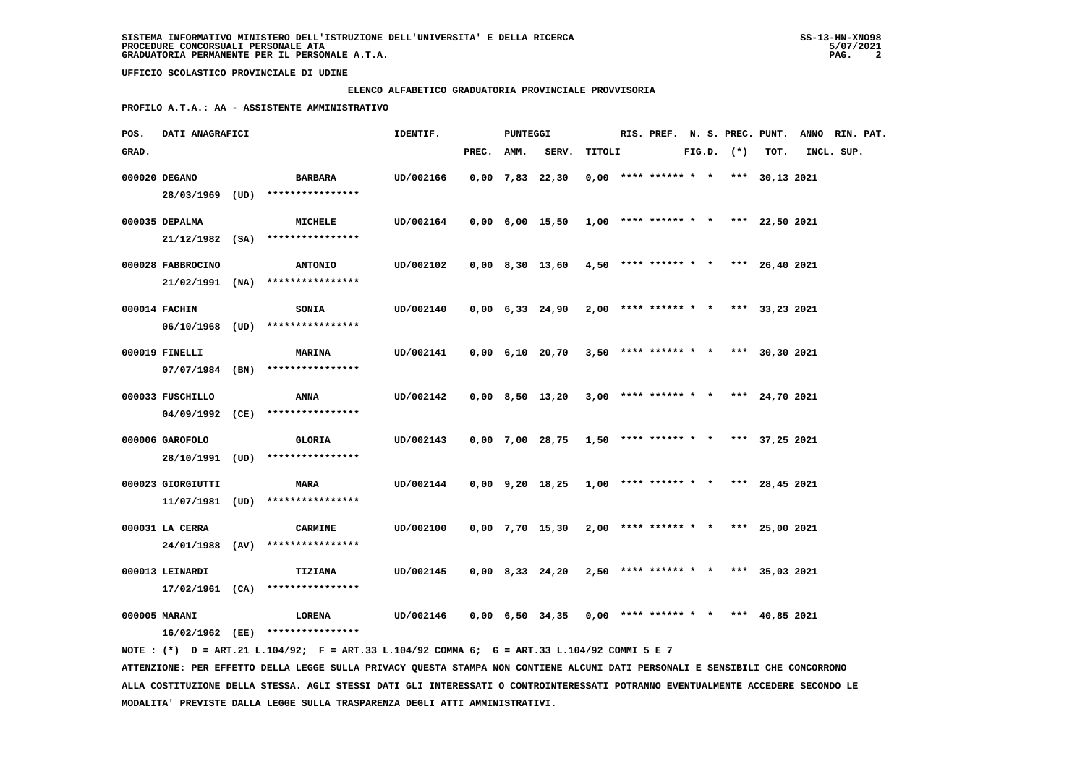### **ELENCO ALFABETICO GRADUATORIA PROVINCIALE PROVVISORIA**

 **PROFILO A.T.A.: AA - ASSISTENTE AMMINISTRATIVO**

| POS.  | DATI ANAGRAFICI   |                                                                                             | IDENTIF.  |            | PUNTEGGI |                                                             |        | RIS. PREF. N. S. PREC. PUNT.          |  |                |      | ANNO RIN. PAT. |  |
|-------|-------------------|---------------------------------------------------------------------------------------------|-----------|------------|----------|-------------------------------------------------------------|--------|---------------------------------------|--|----------------|------|----------------|--|
| GRAD. |                   |                                                                                             |           | PREC. AMM. |          | SERV.                                                       | TITOLI |                                       |  | $FIG.D.$ $(*)$ | TOT. | INCL. SUP.     |  |
|       | 000020 DEGANO     | BARBARA                                                                                     | UD/002166 |            |          | $0,00$ 7,83 22,30                                           |        | $0,00$ **** ****** * * *** 30,13 2021 |  |                |      |                |  |
|       |                   | 28/03/1969 (UD) ****************                                                            |           |            |          |                                                             |        |                                       |  |                |      |                |  |
|       | 000035 DEPALMA    | MICHELE                                                                                     | UD/002164 |            |          | $0,00$ 6,00 15,50 1,00 **** ****** * *** 22,50 2021         |        |                                       |  |                |      |                |  |
|       |                   | 21/12/1982 (SA) ****************                                                            |           |            |          |                                                             |        |                                       |  |                |      |                |  |
|       |                   |                                                                                             |           |            |          |                                                             |        |                                       |  |                |      |                |  |
|       | 000028 FABBROCINO | <b>ANTONIO</b>                                                                              | UD/002102 |            |          | $0,00$ 8,30 13,60 4,50 **** ****** * *** 26,40 2021         |        |                                       |  |                |      |                |  |
|       |                   | $21/02/1991$ (NA) ****************                                                          |           |            |          |                                                             |        |                                       |  |                |      |                |  |
|       | 000014 FACHIN     | <b>SONIA</b>                                                                                | UD/002140 |            |          | $0,00$ 6,33 24,90 2,00 **** ****** * * *** 33,23 2021       |        |                                       |  |                |      |                |  |
|       |                   | 06/10/1968 (UD) ****************                                                            |           |            |          |                                                             |        |                                       |  |                |      |                |  |
|       |                   |                                                                                             |           |            |          |                                                             |        |                                       |  |                |      |                |  |
|       | 000019 FINELLI    | <b>MARINA</b>                                                                               | UD/002141 |            |          | $0,00 \quad 6,10 \quad 20,70$                               |        | $3,50$ **** ****** * * *** 30,30 2021 |  |                |      |                |  |
|       |                   | $07/07/1984$ (BN) *****************                                                         |           |            |          |                                                             |        |                                       |  |                |      |                |  |
|       | 000033 FUSCHILLO  | ANNA                                                                                        | UD/002142 |            |          | $0,00$ 8,50 13,20                                           |        | $3,00$ **** ****** * * *** 24,70 2021 |  |                |      |                |  |
|       |                   | 04/09/1992 (CE) ****************                                                            |           |            |          |                                                             |        |                                       |  |                |      |                |  |
|       |                   |                                                                                             |           |            |          |                                                             |        |                                       |  |                |      |                |  |
|       | 000006 GAROFOLO   | GLORIA<br>28/10/1991 (UD) ****************                                                  | UD/002143 |            |          | $0,00$ 7,00 28,75 1,50 **** ****** * * *** 37,25 2021       |        |                                       |  |                |      |                |  |
|       |                   |                                                                                             |           |            |          |                                                             |        |                                       |  |                |      |                |  |
|       | 000023 GIORGIUTTI | <b>MARA</b>                                                                                 | UD/002144 |            |          | $0,00$ $9,20$ $18,25$ $1,00$ **** ****** * * *** 28,45 2021 |        |                                       |  |                |      |                |  |
|       |                   | 11/07/1981 (UD) ****************                                                            |           |            |          |                                                             |        |                                       |  |                |      |                |  |
|       | 000031 LA CERRA   | <b>CARMINE</b>                                                                              | UD/002100 |            |          | 0,00 7,70 15,30                                             |        | $2,00$ **** ****** * * *** 25,00 2021 |  |                |      |                |  |
|       |                   | 24/01/1988 (AV) ****************                                                            |           |            |          |                                                             |        |                                       |  |                |      |                |  |
|       |                   |                                                                                             |           |            |          |                                                             |        |                                       |  |                |      |                |  |
|       | 000013 LEINARDI   | <b>TIZIANA</b>                                                                              | UD/002145 |            |          | 0,00 8,33 24,20                                             |        | $2,50$ **** ****** * * *** 35,03 2021 |  |                |      |                |  |
|       |                   | $17/02/1961$ (CA) ****************                                                          |           |            |          |                                                             |        |                                       |  |                |      |                |  |
|       | 000005 MARANI     | <b>LORENA</b>                                                                               | UD/002146 |            |          | $0,00 \quad 6,50 \quad 34,35$                               |        | $0,00$ **** ****** * * *** 40,85 2021 |  |                |      |                |  |
|       |                   | 16/02/1962 (EE) ****************                                                            |           |            |          |                                                             |        |                                       |  |                |      |                |  |
|       |                   | NOTE: (*) D = ART.21 L.104/92; F = ART.33 L.104/92 COMMA 6; G = ART.33 L.104/92 COMMI 5 E 7 |           |            |          |                                                             |        |                                       |  |                |      |                |  |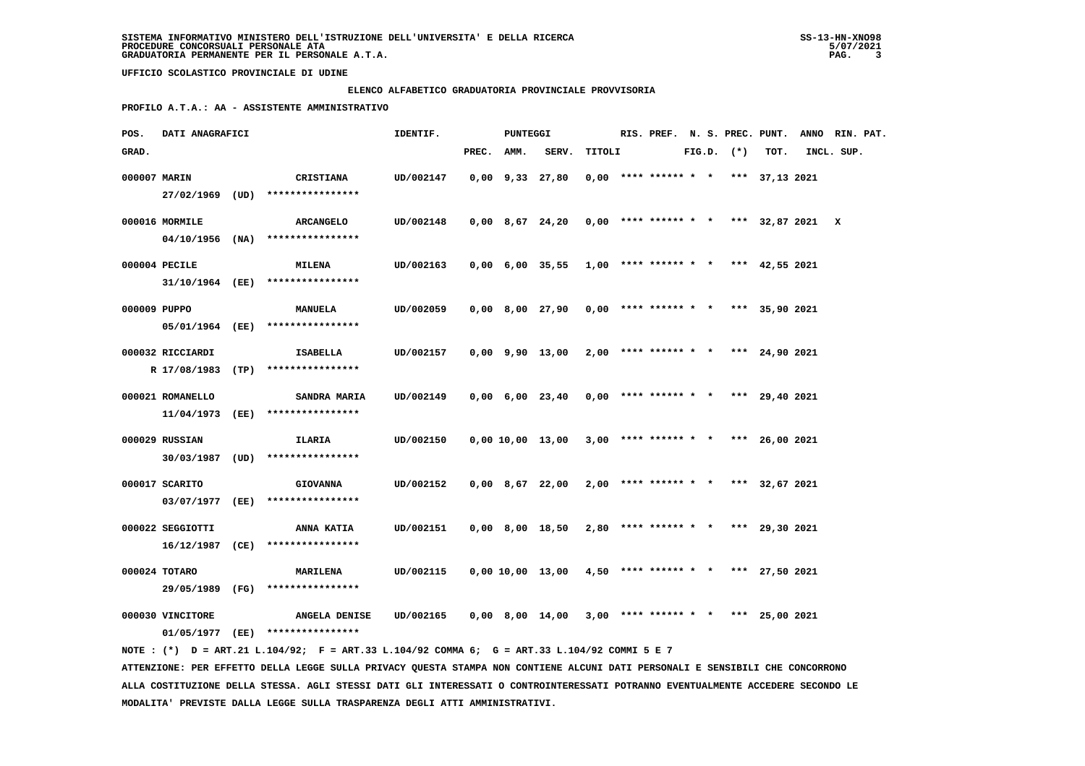### **ELENCO ALFABETICO GRADUATORIA PROVINCIALE PROVVISORIA**

 **PROFILO A.T.A.: AA - ASSISTENTE AMMINISTRATIVO**

| POS.         | DATI ANAGRAFICI                     |      |                                                                                                                               | IDENTIF.  |       | PUNTEGGI |                               |        |                        |  |                | RIS. PREF. N. S. PREC. PUNT. | ANNO RIN. PAT.                          |  |
|--------------|-------------------------------------|------|-------------------------------------------------------------------------------------------------------------------------------|-----------|-------|----------|-------------------------------|--------|------------------------|--|----------------|------------------------------|-----------------------------------------|--|
| GRAD.        |                                     |      |                                                                                                                               |           | PREC. | AMM.     | SERV.                         | TITOLI |                        |  | $FIG.D.$ $(*)$ | TOT.                         | INCL. SUP.                              |  |
| 000007 MARIN |                                     |      | CRISTIANA                                                                                                                     | UD/002147 |       |          | $0,00$ $9,33$ $27,80$         |        | $0,00$ **** ****** * * |  |                | *** 37,13 2021               |                                         |  |
|              | 27/02/1969                          | (UD) | ****************                                                                                                              |           |       |          |                               |        |                        |  |                |                              |                                         |  |
|              |                                     |      |                                                                                                                               |           |       |          |                               |        |                        |  |                |                              |                                         |  |
|              | 000016 MORMILE<br>$04/10/1956$ (NA) |      | <b>ARCANGELO</b><br>****************                                                                                          | UD/002148 |       |          | 0,00 8,67 24,20               |        |                        |  |                |                              | $0,00$ **** ****** * * *** 32,87 2021 X |  |
|              |                                     |      |                                                                                                                               |           |       |          |                               |        |                        |  |                |                              |                                         |  |
|              | 000004 PECILE                       |      | <b>MILENA</b>                                                                                                                 | UD/002163 |       |          | 0,00 6,00 35,55               |        | $1,00$ **** ****** * * |  |                | *** 42,55 2021               |                                         |  |
|              | 31/10/1964 (EE)                     |      | ****************                                                                                                              |           |       |          |                               |        |                        |  |                |                              |                                         |  |
| 000009 PUPPO |                                     |      | <b>MANUELA</b>                                                                                                                | UD/002059 |       |          | 0,00 8,00 27,90               |        | $0,00$ **** ****** * * |  |                | *** 35,90 2021               |                                         |  |
|              | 05/01/1964 (EE)                     |      | ****************                                                                                                              |           |       |          |                               |        |                        |  |                |                              |                                         |  |
|              |                                     |      |                                                                                                                               |           |       |          |                               |        |                        |  |                |                              |                                         |  |
|              | 000032 RICCIARDI                    |      | <b>ISABELLA</b>                                                                                                               | UD/002157 |       |          | $0,00$ $9,90$ $13,00$         |        | $2,00$ **** ****** * * |  |                | *** 24,90 2021               |                                         |  |
|              | R 17/08/1983 (TP)                   |      | ****************                                                                                                              |           |       |          |                               |        |                        |  |                |                              |                                         |  |
|              | 000021 ROMANELLO                    |      | <b>SANDRA MARIA</b>                                                                                                           | UD/002149 |       |          | $0,00 \quad 6,00 \quad 23,40$ |        | $0,00$ **** ****** * * |  |                | *** 29,40 2021               |                                         |  |
|              | 11/04/1973 (EE)                     |      | ****************                                                                                                              |           |       |          |                               |        |                        |  |                |                              |                                         |  |
|              | 000029 RUSSIAN                      |      | ILARIA                                                                                                                        | UD/002150 |       |          | 0,00 10,00 13,00              |        | $3,00$ **** ****** * * |  |                | *** 26,00 2021               |                                         |  |
|              | 30/03/1987                          | (UD) | ****************                                                                                                              |           |       |          |                               |        |                        |  |                |                              |                                         |  |
|              |                                     |      |                                                                                                                               |           |       |          |                               |        |                        |  |                |                              |                                         |  |
|              | 000017 SCARITO                      |      | <b>GIOVANNA</b>                                                                                                               | UD/002152 |       |          | $0,00$ 8,67 22,00             |        | $2,00$ **** ****** * * |  |                | *** 32,67 2021               |                                         |  |
|              | 03/07/1977                          | (EE) | ****************                                                                                                              |           |       |          |                               |        |                        |  |                |                              |                                         |  |
|              | 000022 SEGGIOTTI                    |      | ANNA KATIA                                                                                                                    | UD/002151 |       |          | $0,00$ 8,00 18,50             |        | $2,80$ **** ****** * * |  |                | *** 29,30 2021               |                                         |  |
|              | 16/12/1987                          | (CE) | ****************                                                                                                              |           |       |          |                               |        |                        |  |                |                              |                                         |  |
|              | 000024 TOTARO                       |      | <b>MARILENA</b>                                                                                                               | UD/002115 |       |          | 0,00 10,00 13,00              |        | $4,50$ **** ****** * * |  |                | *** 27,50 2021               |                                         |  |
|              | 29/05/1989                          | (FG) | ****************                                                                                                              |           |       |          |                               |        |                        |  |                |                              |                                         |  |
|              |                                     |      |                                                                                                                               |           |       |          |                               |        |                        |  |                |                              |                                         |  |
|              | 000030 VINCITORE                    |      | ANGELA DENISE                                                                                                                 | UD/002165 |       |          | 0,00 8,00 14,00               |        | $3,00$ **** ****** * * |  |                | *** 25,00 2021               |                                         |  |
|              |                                     |      | 01/05/1977 (EE) ****************                                                                                              |           |       |          |                               |        |                        |  |                |                              |                                         |  |
|              |                                     |      | NOTE: (*) D = ART.21 L.104/92; F = ART.33 L.104/92 COMMA 6; G = ART.33 L.104/92 COMMI 5 E 7                                   |           |       |          |                               |        |                        |  |                |                              |                                         |  |
|              |                                     |      | ATTENZIONE: PER EFFETTO DELLA LEGGE SULLA PRIVACY QUESTA STAMPA NON CONTIENE ALCUNI DATI PERSONALI E SENSIBILI CHE CONCORRONO |           |       |          |                               |        |                        |  |                |                              |                                         |  |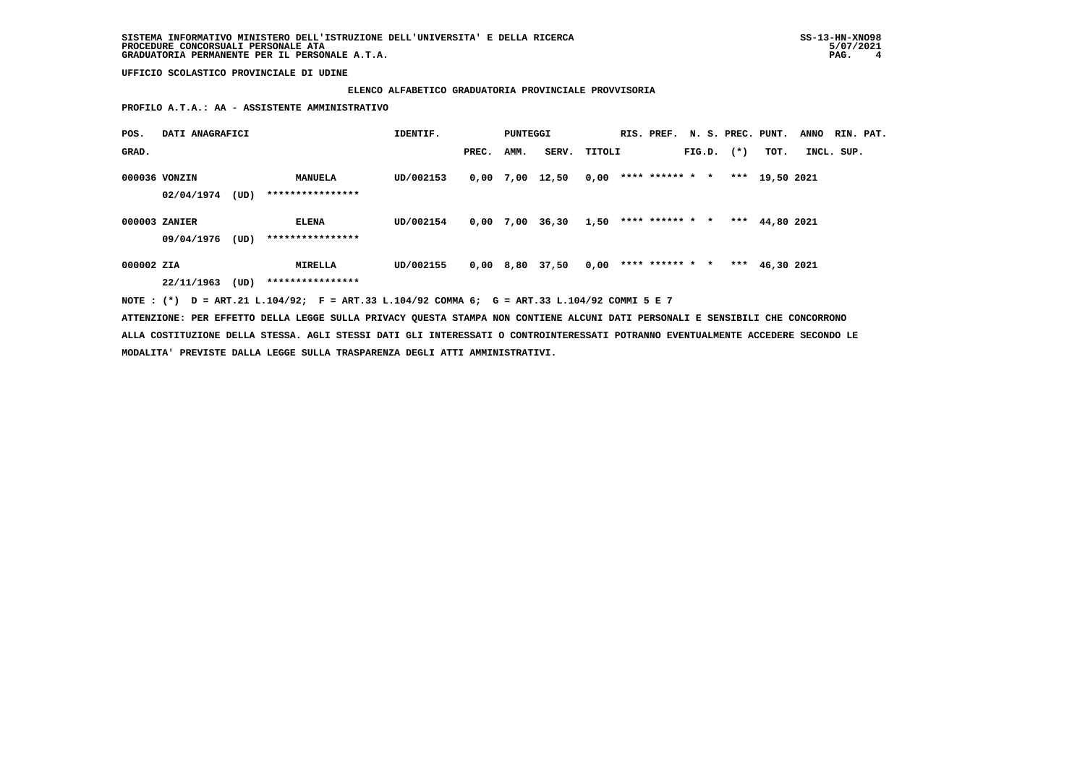### **ELENCO ALFABETICO GRADUATORIA PROVINCIALE PROVVISORIA**

 **PROFILO A.T.A.: AA - ASSISTENTE AMMINISTRATIVO**

| POS.       | DATI ANAGRAFICI |      |                                                                                             | IDENTIF.  |       | PUNTEGGI |                                        |        |                        |  |                | RIS. PREF. N. S. PREC. PUNT. | <b>ANNO</b> | RIN. PAT. |
|------------|-----------------|------|---------------------------------------------------------------------------------------------|-----------|-------|----------|----------------------------------------|--------|------------------------|--|----------------|------------------------------|-------------|-----------|
| GRAD.      |                 |      |                                                                                             |           | PREC. | AMM.     | SERV.                                  | TITOLI |                        |  | $FIG.D.$ $(*)$ | тот.                         | INCL. SUP.  |           |
|            | 000036 VONZIN   |      | <b>MANUELA</b>                                                                              | UD/002153 |       |          | 0,00 7,00 12,50                        | 0,00   | **** ****** * *        |  |                | *** 19,50 2021               |             |           |
|            | 02/04/1974      | (UD) | ****************                                                                            |           |       |          |                                        |        |                        |  |                |                              |             |           |
|            | 000003 ZANIER   |      | <b>ELENA</b>                                                                                | UD/002154 |       |          | $0,00$ 7,00 36,30 1,50 **** ****** * * |        |                        |  |                | *** $44.802021$              |             |           |
|            | 09/04/1976      | (UD) | ****************                                                                            |           |       |          |                                        |        |                        |  |                |                              |             |           |
| 000002 ZIA |                 |      | MIRELLA                                                                                     | UD/002155 |       |          | 0,00 8,80 37,50                        |        | $0,00$ **** ****** * * |  |                | *** $46,30$ 2021             |             |           |
|            | 22/11/1963      | (UD) | ****************                                                                            |           |       |          |                                        |        |                        |  |                |                              |             |           |
|            |                 |      | NOTE: (*) D = ART.21 L.104/92; F = ART.33 L.104/92 COMMA 6; G = ART.33 L.104/92 COMMI 5 E 7 |           |       |          |                                        |        |                        |  |                |                              |             |           |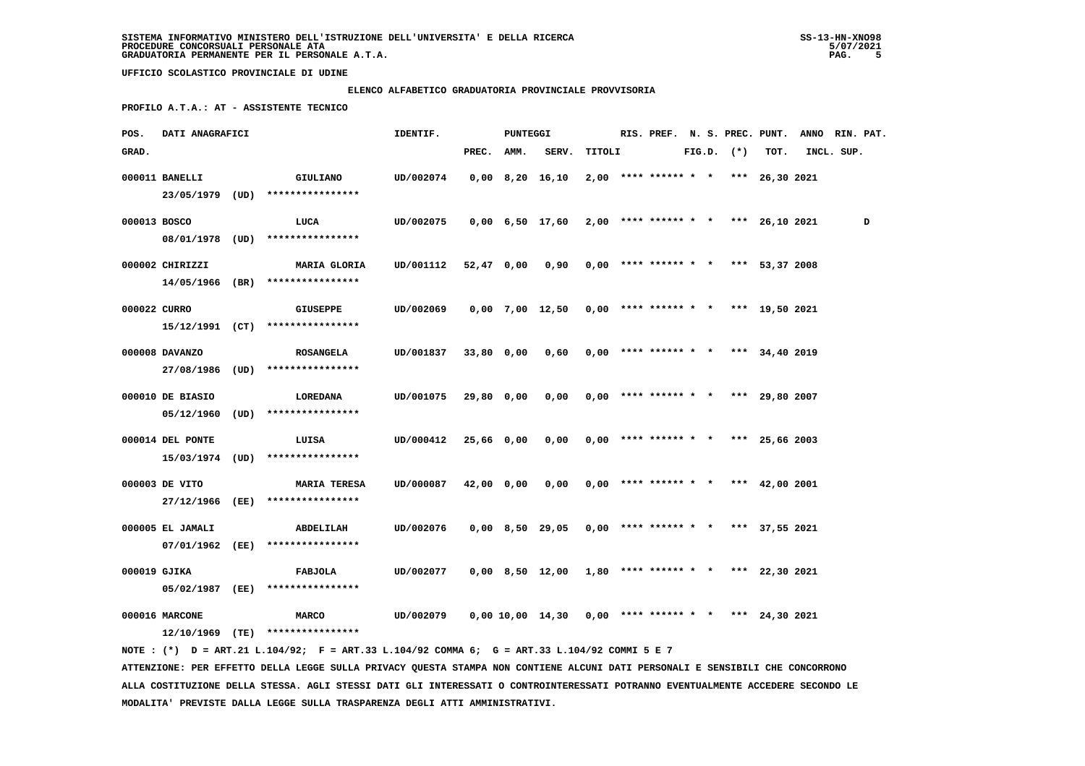# **ELENCO ALFABETICO GRADUATORIA PROVINCIALE PROVVISORIA**

 **PROFILO A.T.A.: AT - ASSISTENTE TECNICO**

| POS.         | DATI ANAGRAFICI  |                                                                                             | IDENTIF.  |            | PUNTEGGI |                                                       |        | RIS. PREF. N. S. PREC. PUNT.          |  |                |                | ANNO RIN. PAT. |   |
|--------------|------------------|---------------------------------------------------------------------------------------------|-----------|------------|----------|-------------------------------------------------------|--------|---------------------------------------|--|----------------|----------------|----------------|---|
| GRAD.        |                  |                                                                                             |           | PREC.      | AMM.     | SERV.                                                 | TITOLI |                                       |  | $FIG.D.$ $(*)$ | TOT.           | INCL. SUP.     |   |
|              | 000011 BANELLI   | GIULIANO                                                                                    | UD/002074 |            |          | $0,00$ $8,20$ $16,10$                                 |        | $2,00$ **** ****** * * *** 26,30 2021 |  |                |                |                |   |
|              |                  | 23/05/1979 (UD) ****************                                                            |           |            |          |                                                       |        |                                       |  |                |                |                |   |
| 000013 BOSCO |                  | LUCA                                                                                        | UD/002075 |            |          | 0,00 6,50 17,60                                       |        | $2,00$ **** ****** * * *** 26,10 2021 |  |                |                |                | D |
|              |                  | 08/01/1978 (UD) ****************                                                            |           |            |          |                                                       |        |                                       |  |                |                |                |   |
|              |                  |                                                                                             |           |            |          |                                                       |        |                                       |  |                |                |                |   |
|              | 000002 CHIRIZZI  | <b>MARIA GLORIA</b>                                                                         | UD/001112 | 52,47 0,00 |          | 0,90                                                  |        | $0,00$ **** ****** * * *** 53,37 2008 |  |                |                |                |   |
|              |                  | $14/05/1966$ (BR) *****************                                                         |           |            |          |                                                       |        |                                       |  |                |                |                |   |
| 000022 CURRO |                  | <b>GIUSEPPE</b>                                                                             | UD/002069 |            |          | $0,00$ 7,00 12,50 0,00 **** ****** * * *** 19,50 2021 |        |                                       |  |                |                |                |   |
|              |                  | $15/12/1991$ (CT) ****************                                                          |           |            |          |                                                       |        |                                       |  |                |                |                |   |
|              | 000008 DAVANZO   | <b>ROSANGELA</b>                                                                            | UD/001837 | 33,80 0,00 |          | 0,60                                                  |        | $0,00$ **** ****** * *                |  |                | *** 34,40 2019 |                |   |
|              |                  | 27/08/1986 (UD) ****************                                                            |           |            |          |                                                       |        |                                       |  |                |                |                |   |
|              |                  |                                                                                             |           |            |          |                                                       |        |                                       |  |                |                |                |   |
|              | 000010 DE BIASIO | <b>LOREDANA</b>                                                                             | UD/001075 | 29,80 0,00 |          | 0,00                                                  |        | $0,00$ **** ****** * *                |  |                | *** 29,80 2007 |                |   |
|              |                  | $05/12/1960$ (UD) ****************                                                          |           |            |          |                                                       |        |                                       |  |                |                |                |   |
|              | 000014 DEL PONTE | LUISA                                                                                       | UD/000412 | 25,66 0,00 |          | 0,00                                                  |        | $0,00$ **** ****** * * *** 25,66 2003 |  |                |                |                |   |
|              |                  | 15/03/1974 (UD) ****************                                                            |           |            |          |                                                       |        |                                       |  |                |                |                |   |
|              |                  |                                                                                             |           |            |          |                                                       |        |                                       |  |                |                |                |   |
|              | 000003 DE VITO   | <b>MARIA TERESA</b>                                                                         | UD/000087 | 42,00 0,00 |          | 0,00                                                  |        | $0.00$ **** ****** * * *** 42.00 2001 |  |                |                |                |   |
|              |                  | 27/12/1966 (EE) ****************                                                            |           |            |          |                                                       |        |                                       |  |                |                |                |   |
|              | 000005 EL JAMALI | ABDELILAH                                                                                   | UD/002076 |            |          | 0,00 8,50 29,05                                       |        | $0,00$ **** ****** * * *** 37,55 2021 |  |                |                |                |   |
|              | 07/01/1962 (EE)  | ****************                                                                            |           |            |          |                                                       |        |                                       |  |                |                |                |   |
|              |                  |                                                                                             |           |            |          |                                                       |        |                                       |  |                |                |                |   |
| 000019 GJIKA |                  | FABJOLA                                                                                     | UD/002077 |            |          | 0,00 8,50 12,00 1,80 **** ****** * * *** 22,30 2021   |        |                                       |  |                |                |                |   |
|              | 05/02/1987 (EE)  | ****************                                                                            |           |            |          |                                                       |        |                                       |  |                |                |                |   |
|              | 000016 MARCONE   | <b>MARCO</b>                                                                                | UD/002079 |            |          | 0,00 10,00 14,30                                      |        | $0,00$ **** ****** * *                |  |                | *** 24,30 2021 |                |   |
|              |                  | $12/10/1969$ (TE) ****************                                                          |           |            |          |                                                       |        |                                       |  |                |                |                |   |
|              |                  | NOTE: (*) D = ART.21 L.104/92; F = ART.33 L.104/92 COMMA 6; G = ART.33 L.104/92 COMMI 5 E 7 |           |            |          |                                                       |        |                                       |  |                |                |                |   |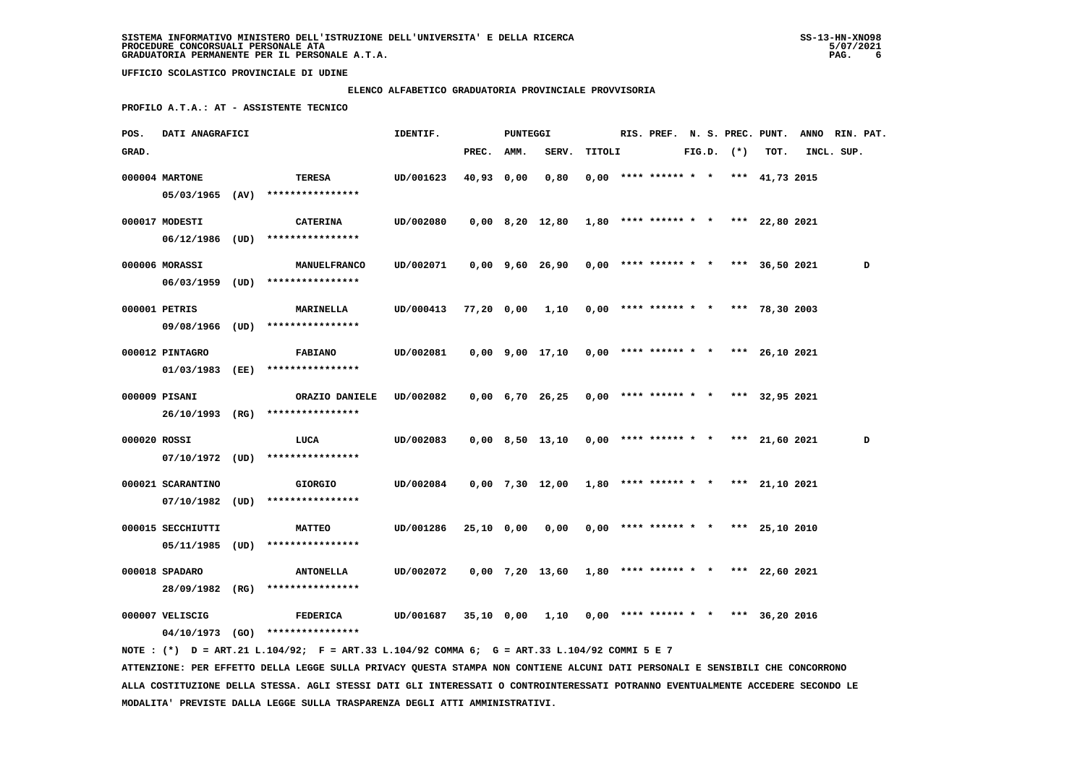### **ELENCO ALFABETICO GRADUATORIA PROVINCIALE PROVVISORIA**

 **PROFILO A.T.A.: AT - ASSISTENTE TECNICO**

| POS.         | DATI ANAGRAFICI   |      |                                                                                                                               | IDENTIF.  |              | PUNTEGGI |                               |        | RIS. PREF. N. S. PREC. PUNT. |  |                |                                       | <b>ANNO</b> | RIN. PAT. |   |
|--------------|-------------------|------|-------------------------------------------------------------------------------------------------------------------------------|-----------|--------------|----------|-------------------------------|--------|------------------------------|--|----------------|---------------------------------------|-------------|-----------|---|
| GRAD.        |                   |      |                                                                                                                               |           | PREC. AMM.   |          | SERV.                         | TITOLI |                              |  | $FIG.D.$ $(*)$ | TOT.                                  | INCL. SUP.  |           |   |
|              | 000004 MARTONE    |      | TERESA                                                                                                                        | UD/001623 | 40,93        | 0,00     | 0,80                          |        | $0,00$ **** ****** * *       |  |                | *** 41,73 2015                        |             |           |   |
|              | $05/03/1965$ (AV) |      | ****************                                                                                                              |           |              |          |                               |        |                              |  |                |                                       |             |           |   |
|              |                   |      |                                                                                                                               |           |              |          |                               |        |                              |  |                |                                       |             |           |   |
|              | 000017 MODESTI    |      | <b>CATERINA</b>                                                                                                               | UD/002080 |              |          | 0,00 8,20 12,80               |        |                              |  |                | $1,80$ **** ****** * * *** 22,80 2021 |             |           |   |
|              | $06/12/1986$ (UD) |      | ****************                                                                                                              |           |              |          |                               |        |                              |  |                |                                       |             |           |   |
|              | 000006 MORASSI    |      | MANUELFRANCO                                                                                                                  | UD/002071 |              |          | 0,00 9,60 26,90               |        | $0,00$ **** ****** * *       |  |                | *** 36,50 2021                        |             |           | D |
|              | $06/03/1959$ (UD) |      | ****************                                                                                                              |           |              |          |                               |        |                              |  |                |                                       |             |           |   |
|              | 000001 PETRIS     |      | <b>MARINELLA</b>                                                                                                              | UD/000413 | 77,20 0,00   |          | 1,10                          |        | $0,00$ **** ****** * *       |  |                | *** 78,30 2003                        |             |           |   |
|              | 09/08/1966 (UD)   |      | ****************                                                                                                              |           |              |          |                               |        |                              |  |                |                                       |             |           |   |
|              |                   |      |                                                                                                                               |           |              |          |                               |        |                              |  |                |                                       |             |           |   |
|              | 000012 PINTAGRO   |      | <b>FABIANO</b>                                                                                                                | UD/002081 |              |          | $0,00$ $9,00$ $17,10$         |        | $0,00$ **** ****** * *       |  |                | *** 26,10 2021                        |             |           |   |
|              | 01/03/1983 (EE)   |      | ****************                                                                                                              |           |              |          |                               |        |                              |  |                |                                       |             |           |   |
|              | 000009 PISANI     |      | ORAZIO DANIELE                                                                                                                | UD/002082 |              |          | $0,00 \quad 6,70 \quad 26,25$ |        | $0,00$ **** ****** * *       |  |                | *** 32,95 2021                        |             |           |   |
|              | 26/10/1993 (RG)   |      | ****************                                                                                                              |           |              |          |                               |        |                              |  |                |                                       |             |           |   |
|              |                   |      |                                                                                                                               |           |              |          |                               |        |                              |  |                |                                       |             |           |   |
| 000020 ROSSI |                   |      | LUCA                                                                                                                          | UD/002083 |              |          | $0,00$ 8,50 13,10             |        | $0,00$ **** ****** * *       |  |                | *** $21,60$ 2021                      |             |           | D |
|              | $07/10/1972$ (UD) |      | ****************                                                                                                              |           |              |          |                               |        |                              |  |                |                                       |             |           |   |
|              | 000021 SCARANTINO |      | <b>GIORGIO</b>                                                                                                                | UD/002084 |              |          | $0,00$ 7,30 12,00             |        | $1,80$ **** ****** * *       |  |                | *** 21,10 2021                        |             |           |   |
|              | 07/10/1982        | (UD) | ****************                                                                                                              |           |              |          |                               |        |                              |  |                |                                       |             |           |   |
|              | 000015 SECCHIUTTI |      | <b>MATTEO</b>                                                                                                                 | UD/001286 | $25,10$ 0,00 |          | 0,00                          |        | $0,00$ **** ****** * *       |  |                | *** 25,10 2010                        |             |           |   |
|              | $05/11/1985$ (UD) |      | ****************                                                                                                              |           |              |          |                               |        |                              |  |                |                                       |             |           |   |
|              |                   |      |                                                                                                                               |           |              |          |                               |        |                              |  |                |                                       |             |           |   |
|              | 000018 SPADARO    |      | <b>ANTONELLA</b>                                                                                                              | UD/002072 |              |          | $0,00$ 7,20 13,60             |        | $1,80$ **** ****** * *       |  |                | *** 22,60 2021                        |             |           |   |
|              | 28/09/1982 (RG)   |      | ****************                                                                                                              |           |              |          |                               |        |                              |  |                |                                       |             |           |   |
|              | 000007 VELISCIG   |      | <b>FEDERICA</b>                                                                                                               | UD/001687 | 35,10 0,00   |          | 1,10                          |        | $0,00$ **** ****** * *       |  |                | *** 36,20 2016                        |             |           |   |
|              |                   |      | 04/10/1973 (GO) ****************                                                                                              |           |              |          |                               |        |                              |  |                |                                       |             |           |   |
|              |                   |      | NOTE : (*) D = ART.21 L.104/92; F = ART.33 L.104/92 COMMA 6; G = ART.33 L.104/92 COMMI 5 E 7                                  |           |              |          |                               |        |                              |  |                |                                       |             |           |   |
|              |                   |      | ATTENZIONE: PER EFFETTO DELLA LEGGE SULLA PRIVACY QUESTA STAMPA NON CONTIENE ALCUNI DATI PERSONALI E SENSIBILI CHE CONCORRONO |           |              |          |                               |        |                              |  |                |                                       |             |           |   |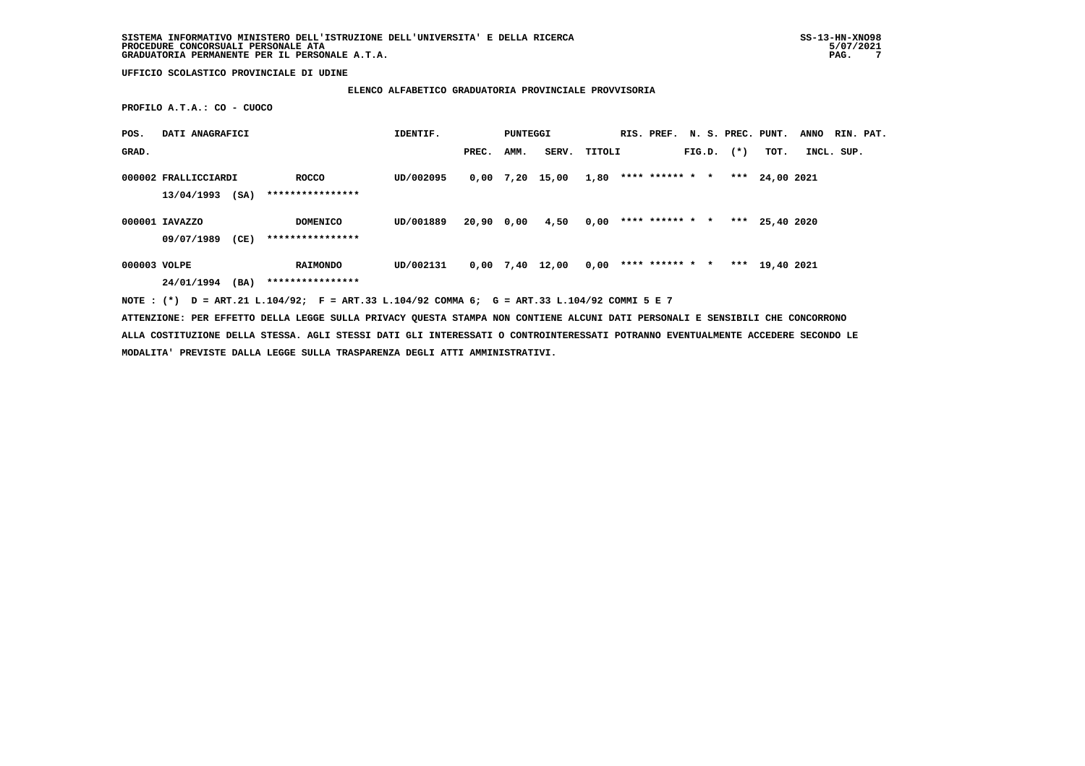### **ELENCO ALFABETICO GRADUATORIA PROVINCIALE PROVVISORIA**

 **PROFILO A.T.A.: CO - CUOCO**

| POS.         | DATI ANAGRAFICI      |      |                                                                                             | IDENTIF.  |            | PUNTEGGI |                   |      | RIS. PREF. N. S. PREC. PUNT. |  |                |                | <b>ANNO</b> |            | RIN. PAT. |
|--------------|----------------------|------|---------------------------------------------------------------------------------------------|-----------|------------|----------|-------------------|------|------------------------------|--|----------------|----------------|-------------|------------|-----------|
| GRAD.        |                      |      |                                                                                             |           | PREC.      | AMM.     | SERV. TITOLI      |      |                              |  | $FIG.D.$ $(*)$ | TOT.           |             | INCL. SUP. |           |
|              | 000002 FRALLICCIARDI |      | ROCCO                                                                                       | UD/002095 |            |          | 0,00 7,20 15,00   | 1,80 | **** ****** * *              |  |                | *** 24,00 2021 |             |            |           |
|              | 13/04/1993           | (SA) | ****************                                                                            |           |            |          |                   |      |                              |  |                |                |             |            |           |
|              | 000001 IAVAZZO       |      | <b>DOMENICO</b>                                                                             | UD/001889 | 20,90 0,00 |          | 4,50              | 0,00 | **** ****** * *              |  |                | *** 25,40 2020 |             |            |           |
|              | 09/07/1989           | (CE) | ****************                                                                            |           |            |          |                   |      |                              |  |                |                |             |            |           |
| 000003 VOLPE |                      |      | <b>RAIMONDO</b>                                                                             | UD/002131 |            |          | $0,00$ 7,40 12,00 | 0,00 | **** ****** * *              |  |                | *** 19,40 2021 |             |            |           |
|              | 24/01/1994           | (BA) | ****************                                                                            |           |            |          |                   |      |                              |  |                |                |             |            |           |
|              |                      |      | NOTE: (*) D = ART.21 L.104/92; F = ART.33 L.104/92 COMMA 6; G = ART.33 L.104/92 COMMI 5 E 7 |           |            |          |                   |      |                              |  |                |                |             |            |           |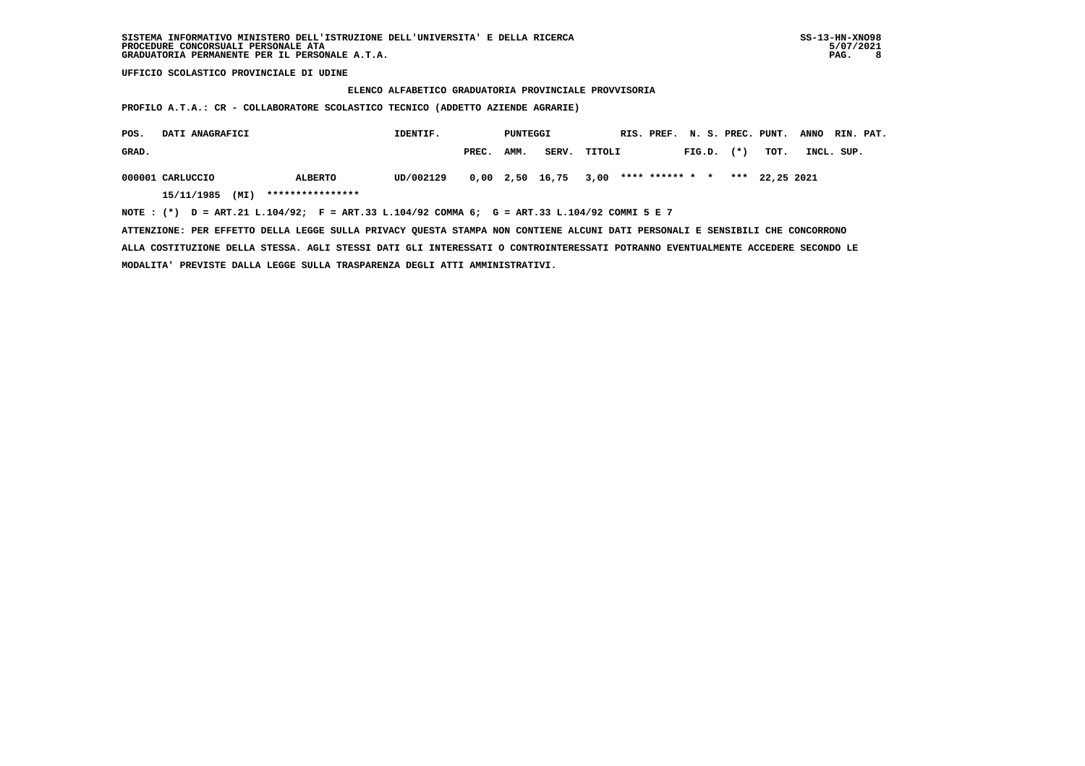#### **ELENCO ALFABETICO GRADUATORIA PROVINCIALE PROVVISORIA**

 **PROFILO A.T.A.: CR - COLLABORATORE SCOLASTICO TECNICO (ADDETTO AZIENDE AGRARIE)**

| POS.  | DATI ANAGRAFICI    |                                                                                                | IDENTIF.  |       | PUNTEGGI |                 |        |                 |        |        | RIS. PREF. N. S. PREC. PUNT. | <b>ANNO</b> | RIN. PAT. |
|-------|--------------------|------------------------------------------------------------------------------------------------|-----------|-------|----------|-----------------|--------|-----------------|--------|--------|------------------------------|-------------|-----------|
| GRAD. |                    |                                                                                                |           | PREC. | AMM.     | SERV.           | TITOLI |                 | FIG.D. | $(* )$ | тот.                         | INCL. SUP.  |           |
|       | 000001 CARLUCCIO   | ALBERTO                                                                                        | UD/002129 |       |          | 0,00 2,50 16,75 | 3,00   | **** ****** * * |        |        | *** 22,25 2021               |             |           |
|       | (MI)<br>15/11/1985 | ****************                                                                               |           |       |          |                 |        |                 |        |        |                              |             |           |
|       |                    | NOTE : $(*)$ D = ART.21 L.104/92; F = ART.33 L.104/92 COMMA 6; G = ART.33 L.104/92 COMMI 5 E 7 |           |       |          |                 |        |                 |        |        |                              |             |           |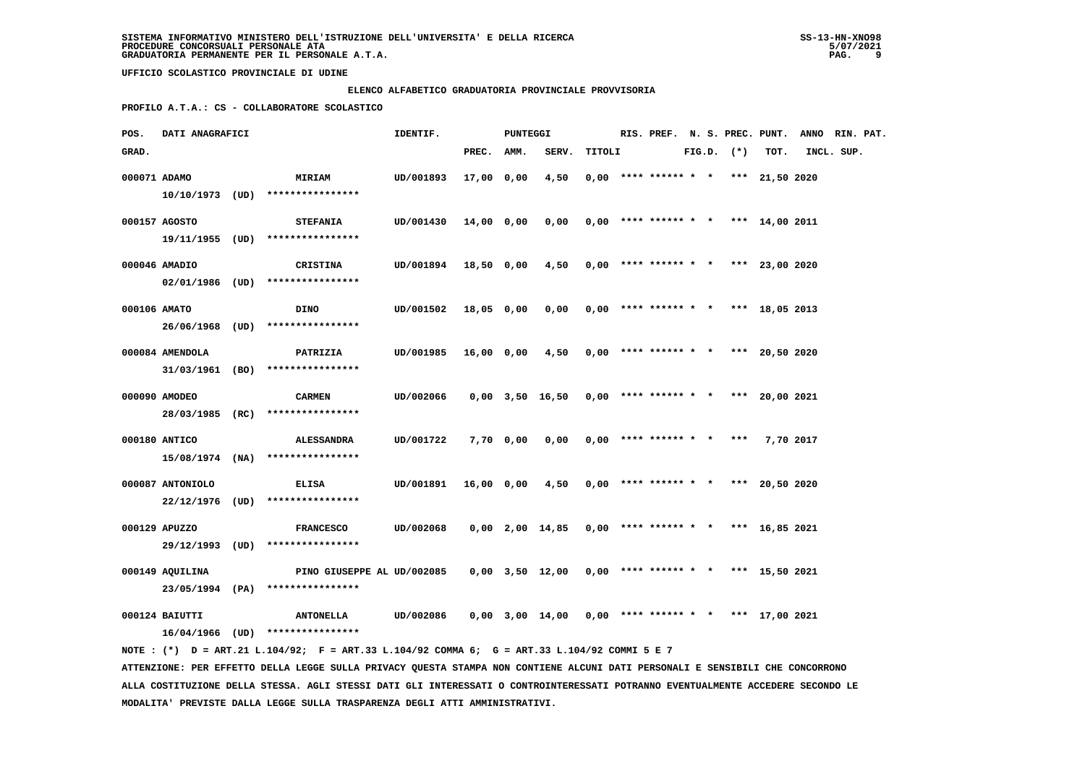### **ELENCO ALFABETICO GRADUATORIA PROVINCIALE PROVVISORIA**

 **PROFILO A.T.A.: CS - COLLABORATORE SCOLASTICO**

| POS.         | DATI ANAGRAFICI  |                                                                                                                               | IDENTIF.  |            | PUNTEGGI  |                                                       |        |                            |  |                | RIS. PREF. N. S. PREC. PUNT.          | ANNO RIN. PAT. |  |
|--------------|------------------|-------------------------------------------------------------------------------------------------------------------------------|-----------|------------|-----------|-------------------------------------------------------|--------|----------------------------|--|----------------|---------------------------------------|----------------|--|
| GRAD.        |                  |                                                                                                                               |           | PREC. AMM. |           | SERV.                                                 | TITOLI |                            |  | $FIG.D.$ $(*)$ | TOT.                                  | INCL. SUP.     |  |
| 000071 ADAMO |                  | <b>MIRIAM</b>                                                                                                                 | UD/001893 | 17,00 0,00 |           | 4,50                                                  |        |                            |  |                | $0,00$ **** ****** * * *** 21,50 2020 |                |  |
|              |                  | 10/10/1973 (UD) ****************                                                                                              |           |            |           |                                                       |        |                            |  |                |                                       |                |  |
|              |                  |                                                                                                                               |           |            |           |                                                       |        |                            |  |                |                                       |                |  |
|              | 000157 AGOSTO    | <b>STEFANIA</b>                                                                                                               | UD/001430 | 14,00 0,00 |           | 0,00                                                  |        |                            |  |                | $0,00$ **** ****** * * *** 14,00 2011 |                |  |
|              |                  | 19/11/1955 (UD) ****************                                                                                              |           |            |           |                                                       |        |                            |  |                |                                       |                |  |
|              | 000046 AMADIO    | CRISTINA                                                                                                                      | UD/001894 | 18,50 0,00 |           | 4,50                                                  |        |                            |  |                | $0,00$ **** ****** * * *** 23,00 2020 |                |  |
|              |                  | 02/01/1986 (UD) ****************                                                                                              |           |            |           |                                                       |        |                            |  |                |                                       |                |  |
|              |                  |                                                                                                                               |           |            |           |                                                       |        |                            |  |                |                                       |                |  |
| 000106 AMATO |                  | DINO                                                                                                                          | UD/001502 | 18,05 0,00 |           | 0,00                                                  |        |                            |  |                | $0,00$ **** ****** * * *** 18,05 2013 |                |  |
|              |                  | 26/06/1968 (UD) ****************                                                                                              |           |            |           |                                                       |        |                            |  |                |                                       |                |  |
|              | 000084 AMENDOLA  | PATRIZIA                                                                                                                      | UD/001985 | 16,00 0,00 |           | 4,50                                                  |        |                            |  |                | $0,00$ **** ****** * * *** 20,50 2020 |                |  |
|              |                  | $31/03/1961$ (BO) *****************                                                                                           |           |            |           |                                                       |        |                            |  |                |                                       |                |  |
|              |                  |                                                                                                                               |           |            |           |                                                       |        |                            |  |                |                                       |                |  |
|              | 000090 AMODEO    | <b>CARMEN</b>                                                                                                                 | UD/002066 |            |           | $0,00$ 3,50 16,50                                     |        |                            |  |                | $0,00$ **** ****** * * *** 20,00 2021 |                |  |
|              |                  | 28/03/1985 (RC) ****************                                                                                              |           |            |           |                                                       |        |                            |  |                |                                       |                |  |
|              | 000180 ANTICO    | <b>ALESSANDRA</b>                                                                                                             | UD/001722 |            | 7,70 0,00 | 0,00                                                  |        | $0,00$ **** ****** * * *** |  |                | 7,70 2017                             |                |  |
|              |                  | $15/08/1974$ (NA) ****************                                                                                            |           |            |           |                                                       |        |                            |  |                |                                       |                |  |
|              | 000087 ANTONIOLO | <b>ELISA</b>                                                                                                                  | UD/001891 | 16,00 0,00 |           | 4,50                                                  |        | $0,00$ **** ****** * *     |  |                | *** 20,50 2020                        |                |  |
|              |                  | 22/12/1976 (UD) ****************                                                                                              |           |            |           |                                                       |        |                            |  |                |                                       |                |  |
|              |                  |                                                                                                                               |           |            |           |                                                       |        |                            |  |                |                                       |                |  |
|              | 000129 APUZZO    | <b>FRANCESCO</b>                                                                                                              | UD/002068 |            |           | $0,00$ 2,00 14,85                                     |        |                            |  |                | $0,00$ **** ****** * * *** 16,85 2021 |                |  |
|              |                  | 29/12/1993 (UD) ****************                                                                                              |           |            |           |                                                       |        |                            |  |                |                                       |                |  |
|              | 000149 AQUILINA  | PINO GIUSEPPE AL UD/002085                                                                                                    |           |            |           | $0,00$ $3,50$ $12,00$                                 |        |                            |  |                | $0,00$ **** ****** * * *** 15,50 2021 |                |  |
|              |                  | 23/05/1994 (PA) ****************                                                                                              |           |            |           |                                                       |        |                            |  |                |                                       |                |  |
|              |                  |                                                                                                                               |           |            |           |                                                       |        |                            |  |                |                                       |                |  |
|              | 000124 BAIUTTI   | <b>ANTONELLA</b>                                                                                                              | UD/002086 |            |           | $0,00$ 3,00 14,00 0,00 **** ****** * * *** 17,00 2021 |        |                            |  |                |                                       |                |  |
|              |                  | 16/04/1966 (UD) ****************                                                                                              |           |            |           |                                                       |        |                            |  |                |                                       |                |  |
|              |                  | NOTE: (*) D = ART.21 L.104/92; F = ART.33 L.104/92 COMMA 6; G = ART.33 L.104/92 COMMI 5 E 7                                   |           |            |           |                                                       |        |                            |  |                |                                       |                |  |
|              |                  | ATTENZIONE: PER EFFETTO DELLA LEGGE SULLA PRIVACY QUESTA STAMPA NON CONTIENE ALCUNI DATI PERSONALI E SENSIBILI CHE CONCORRONO |           |            |           |                                                       |        |                            |  |                |                                       |                |  |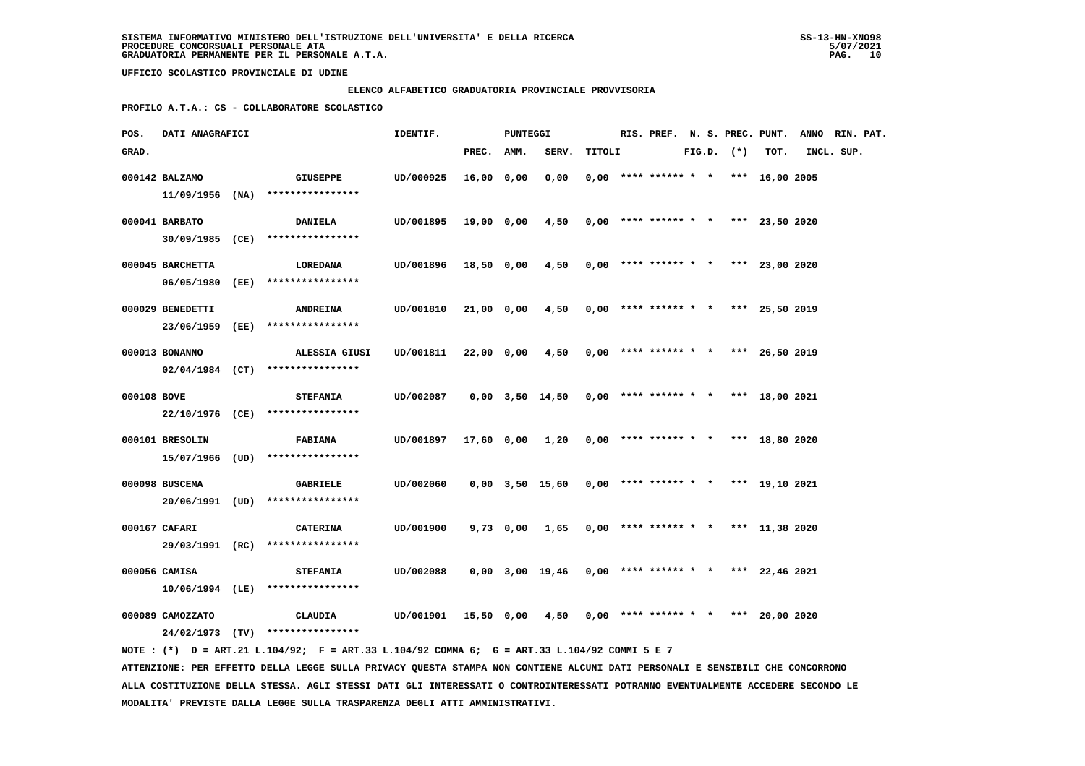#### **ELENCO ALFABETICO GRADUATORIA PROVINCIALE PROVVISORIA**

 **PROFILO A.T.A.: CS - COLLABORATORE SCOLASTICO**

| POS.        | <b>DATI ANAGRAFICI</b> |                                                                                             | IDENTIF.                                                    |            | PUNTEGGI |                                                       |        |                                       |  |                |      | RIS. PREF. N. S. PREC. PUNT. ANNO RIN. PAT. |  |
|-------------|------------------------|---------------------------------------------------------------------------------------------|-------------------------------------------------------------|------------|----------|-------------------------------------------------------|--------|---------------------------------------|--|----------------|------|---------------------------------------------|--|
| GRAD.       |                        |                                                                                             |                                                             | PREC. AMM. |          | SERV.                                                 | TITOLI |                                       |  | $FIG.D.$ $(*)$ | TOT. | INCL. SUP.                                  |  |
|             | 000142 BALZAMO         | GIUSEPPE<br>$11/09/1956$ (NA) ****************                                              | UD/000925                                                   | 16,00 0,00 |          | 0,00                                                  |        | $0.00$ **** ****** * * *** 16.00 2005 |  |                |      |                                             |  |
|             | 000041 BARBATO         | <b>DANIELA</b><br>30/09/1985 (CE) ****************                                          | UD/001895                                                   | 19,00 0,00 |          | 4,50                                                  |        | $0,00$ **** ****** * * *** 23,50 2020 |  |                |      |                                             |  |
|             | 000045 BARCHETTA       | <b>LOREDANA</b><br>06/05/1980 (EE) ****************                                         | UD/001896 18,50 0,00 4,50 0,00 **** ****** * *** 23,00 2020 |            |          |                                                       |        |                                       |  |                |      |                                             |  |
|             | 000029 BENEDETTI       | <b>ANDREINA</b>                                                                             | UD/001810                                                   | 21,00 0,00 |          | 4,50                                                  |        | $0,00$ **** ****** * * *** 25,50 2019 |  |                |      |                                             |  |
|             | 000013 BONANNO         | 23/06/1959 (EE) ****************<br>ALESSIA GIUSI                                           | UD/001811                                                   | 22,00 0,00 |          | 4,50                                                  |        | $0,00$ **** ****** * * *** 26,50 2019 |  |                |      |                                             |  |
|             |                        | $02/04/1984$ (CT) ****************                                                          |                                                             |            |          |                                                       |        |                                       |  |                |      |                                             |  |
| 000108 BOVE |                        | <b>STEFANIA</b><br>22/10/1976 (CE) ****************                                         | UD/002087                                                   |            |          | $0,00$ 3,50 14,50 0,00 **** ****** * * *** 18,00 2021 |        |                                       |  |                |      |                                             |  |
|             | 000101 BRESOLIN        | <b>FABIANA</b><br>15/07/1966 (UD) ****************                                          | UD/001897                                                   |            |          | 17,60 0,00 1,20                                       |        | $0,00$ **** ****** * * *** 18,80 2020 |  |                |      |                                             |  |
|             | 000098 BUSCEMA         | <b>GABRIELE</b><br>20/06/1991 (UD) ****************                                         | UD/002060                                                   |            |          | 0,00 3,50 15,60                                       |        | $0,00$ **** ****** * * *** 19,10 2021 |  |                |      |                                             |  |
|             | 000167 CAFARI          | <b>CATERINA</b>                                                                             | UD/001900                                                   |            |          | 9,73 0,00 1,65                                        |        | $0,00$ **** ****** * * *** 11,38 2020 |  |                |      |                                             |  |
|             | 000056 CAMISA          | 29/03/1991 (RC) ****************<br><b>STEFANIA</b>                                         | UD/002088                                                   |            |          | $0,00$ 3,00 19,46 0,00 **** ****** * *** 22,46 2021   |        |                                       |  |                |      |                                             |  |
|             |                        | $10/06/1994$ (LE) ****************                                                          |                                                             |            |          |                                                       |        |                                       |  |                |      |                                             |  |
|             | 000089 CAMOZZATO       | CLAUDIA<br>24/02/1973 (TV) ****************                                                 | UD/001901                                                   |            |          | 15,50 0,00 4,50                                       |        | $0,00$ **** ****** * * *** 20,00 2020 |  |                |      |                                             |  |
|             |                        | NOTE: (*) D = ART.21 L.104/92; F = ART.33 L.104/92 COMMA 6; G = ART.33 L.104/92 COMMI 5 E 7 |                                                             |            |          |                                                       |        |                                       |  |                |      |                                             |  |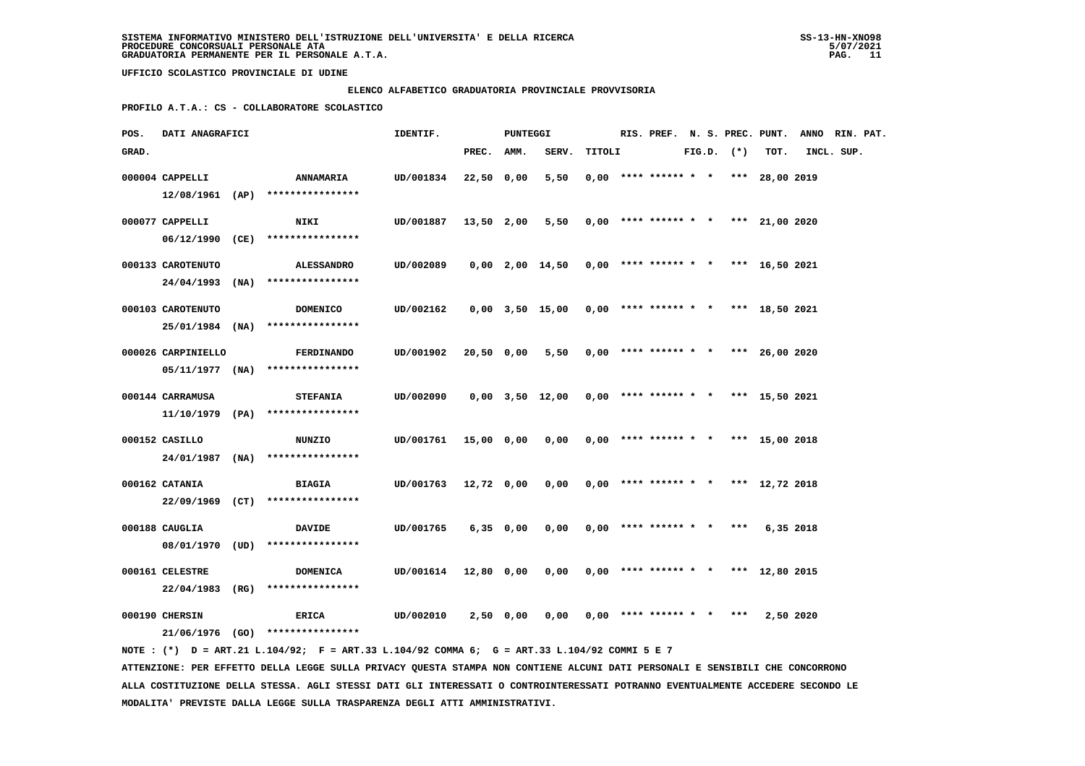#### **ELENCO ALFABETICO GRADUATORIA PROVINCIALE PROVVISORIA**

 **PROFILO A.T.A.: CS - COLLABORATORE SCOLASTICO**

| POS.  | DATI ANAGRAFICI    |                                                                                             | IDENTIF.  |            | PUNTEGGI    |                                                       |        | RIS. PREF. N. S. PREC. PUNT.          |  |                |                | ANNO RIN. PAT. |  |
|-------|--------------------|---------------------------------------------------------------------------------------------|-----------|------------|-------------|-------------------------------------------------------|--------|---------------------------------------|--|----------------|----------------|----------------|--|
| GRAD. |                    |                                                                                             |           | PREC.      | AMM.        | SERV.                                                 | TITOLI |                                       |  | $FIG.D.$ $(*)$ | TOT.           | INCL. SUP.     |  |
|       | 000004 CAPPELLI    | <b>ANNAMARIA</b>                                                                            | UD/001834 | 22,50 0,00 |             | 5,50                                                  |        | $0,00$ **** ****** * *                |  |                | *** 28,00 2019 |                |  |
|       |                    | $12/08/1961$ (AP) ****************                                                          |           |            |             |                                                       |        |                                       |  |                |                |                |  |
|       | 000077 CAPPELLI    | <b>NIKI</b>                                                                                 | UD/001887 | 13,50 2,00 |             | 5,50                                                  |        | $0,00$ **** ****** * * *** 21,00 2020 |  |                |                |                |  |
|       |                    | 06/12/1990 (CE) ****************                                                            |           |            |             |                                                       |        |                                       |  |                |                |                |  |
|       |                    |                                                                                             |           |            |             |                                                       |        |                                       |  |                |                |                |  |
|       | 000133 CAROTENUTO  | <b>ALESSANDRO</b>                                                                           | UD/002089 |            |             | 0,00 2,00 14,50                                       |        | $0,00$ **** ****** * * *** 16,50 2021 |  |                |                |                |  |
|       |                    | 24/04/1993 (NA) ****************                                                            |           |            |             |                                                       |        |                                       |  |                |                |                |  |
|       | 000103 CAROTENUTO  | <b>DOMENICO</b>                                                                             | UD/002162 |            |             | $0,00$ 3,50 15,00 0,00 **** ****** * * *** 18,50 2021 |        |                                       |  |                |                |                |  |
|       | 25/01/1984 (NA)    | ****************                                                                            |           |            |             |                                                       |        |                                       |  |                |                |                |  |
|       |                    |                                                                                             |           |            |             |                                                       |        |                                       |  |                |                |                |  |
|       | 000026 CARPINIELLO | <b>FERDINANDO</b>                                                                           | UD/001902 | 20,50 0,00 |             | 5,50                                                  |        | $0,00$ **** ****** * *                |  |                | *** 26,00 2020 |                |  |
|       |                    | $05/11/1977$ (NA) ****************                                                          |           |            |             |                                                       |        |                                       |  |                |                |                |  |
|       | 000144 CARRAMUSA   | <b>STEFANIA</b>                                                                             | UD/002090 |            |             | 0,00 3,50 12,00                                       |        | $0,00$ **** ****** * *                |  |                | *** 15,50 2021 |                |  |
|       |                    | $11/10/1979$ (PA) ****************                                                          |           |            |             |                                                       |        |                                       |  |                |                |                |  |
|       |                    |                                                                                             |           |            |             |                                                       |        |                                       |  |                |                |                |  |
|       | 000152 CASILLO     | <b>NUNZIO</b>                                                                               | UD/001761 | 15,00 0,00 |             | 0,00                                                  |        | $0,00$ **** ****** * * *** 15,00 2018 |  |                |                |                |  |
|       |                    | 24/01/1987 (NA) ****************                                                            |           |            |             |                                                       |        |                                       |  |                |                |                |  |
|       | 000162 CATANIA     | <b>BIAGIA</b>                                                                               | UD/001763 | 12,72 0,00 |             | 0,00                                                  |        | $0,00$ **** ****** * * *** 12,72 2018 |  |                |                |                |  |
|       |                    | 22/09/1969 (CT) ****************                                                            |           |            |             |                                                       |        |                                       |  |                |                |                |  |
|       | 000188 CAUGLIA     | <b>DAVIDE</b>                                                                               | UD/001765 |            | $6,35$ 0,00 | 0,00                                                  |        | $0,00$ **** ****** * * ***            |  |                | 6,35 2018      |                |  |
|       | 08/01/1970         | $(UD)$ *****************                                                                    |           |            |             |                                                       |        |                                       |  |                |                |                |  |
|       |                    |                                                                                             |           |            |             |                                                       |        |                                       |  |                |                |                |  |
|       | 000161 CELESTRE    | <b>DOMENICA</b>                                                                             | UD/001614 | 12,80 0,00 |             | 0,00                                                  |        | $0,00$ **** ****** * * *** 12,80 2015 |  |                |                |                |  |
|       | $22/04/1983$ (RG)  | ****************                                                                            |           |            |             |                                                       |        |                                       |  |                |                |                |  |
|       | 000190 CHERSIN     | ERICA                                                                                       | UD/002010 |            | 2,50 0,00   | 0,00                                                  |        | $0.00$ **** ****** * *                |  | ***            | 2,50 2020      |                |  |
|       |                    | 21/06/1976 (GO) *****************                                                           |           |            |             |                                                       |        |                                       |  |                |                |                |  |
|       |                    | NOTE: (*) D = ART.21 L.104/92; F = ART.33 L.104/92 COMMA 6; G = ART.33 L.104/92 COMMI 5 E 7 |           |            |             |                                                       |        |                                       |  |                |                |                |  |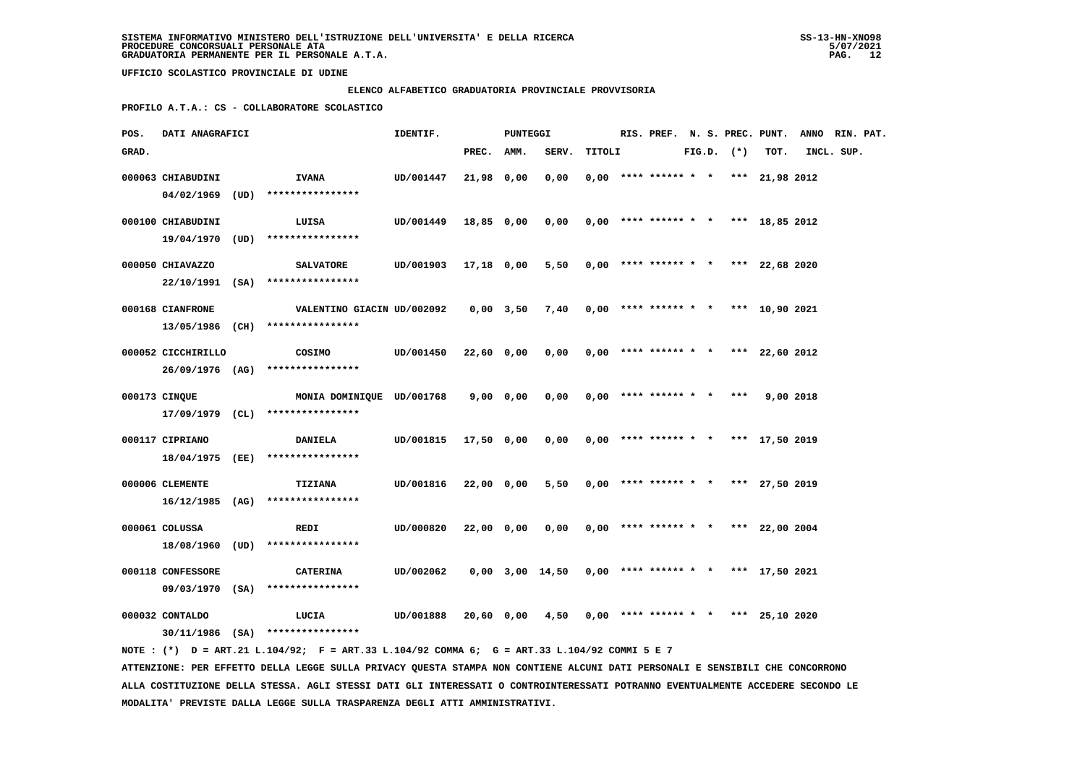#### **ELENCO ALFABETICO GRADUATORIA PROVINCIALE PROVVISORIA**

 **PROFILO A.T.A.: CS - COLLABORATORE SCOLASTICO**

| POS.  | DATI ANAGRAFICI    |                                                                                                | IDENTIF.             |            | PUNTEGGI |                                                       |        |                                       |  |                |      | RIS. PREF. N. S. PREC. PUNT. ANNO RIN. PAT. |  |
|-------|--------------------|------------------------------------------------------------------------------------------------|----------------------|------------|----------|-------------------------------------------------------|--------|---------------------------------------|--|----------------|------|---------------------------------------------|--|
| GRAD. |                    |                                                                                                |                      | PREC. AMM. |          | SERV.                                                 | TITOLI |                                       |  | $FIG.D.$ $(*)$ | TOT. | INCL. SUP.                                  |  |
|       | 000063 CHIABUDINI  | <b>IVANA</b>                                                                                   | UD/001447            | 21,98 0,00 |          | 0.00                                                  |        | $0.00$ **** ****** * * *** 21,98 2012 |  |                |      |                                             |  |
|       |                    | $04/02/1969$ (UD) ****************                                                             |                      |            |          |                                                       |        |                                       |  |                |      |                                             |  |
|       |                    |                                                                                                |                      |            |          |                                                       |        |                                       |  |                |      |                                             |  |
|       | 000100 CHIABUDINI  | LUISA                                                                                          | UD/001449            | 18,85 0,00 |          | 0,00                                                  |        | $0,00$ **** ****** * * *** 18,85 2012 |  |                |      |                                             |  |
|       |                    | 19/04/1970 (UD) ****************                                                               |                      |            |          |                                                       |        |                                       |  |                |      |                                             |  |
|       | 000050 CHIAVAZZO   | <b>SALVATORE</b>                                                                               | UD/001903 17,18 0,00 |            |          | 5,50                                                  |        | $0,00$ **** ****** * * *** 22,68 2020 |  |                |      |                                             |  |
|       |                    | 22/10/1991 (SA) ****************                                                               |                      |            |          |                                                       |        |                                       |  |                |      |                                             |  |
|       | 000168 CIANFRONE   |                                                                                                |                      |            |          |                                                       |        |                                       |  |                |      |                                             |  |
|       |                    | 13/05/1986 (CH) ****************                                                               |                      |            |          |                                                       |        |                                       |  |                |      |                                             |  |
|       |                    |                                                                                                |                      |            |          |                                                       |        |                                       |  |                |      |                                             |  |
|       | 000052 CICCHIRILLO | COSIMO                                                                                         | UD/001450            | 22,60 0,00 |          | $0,00$ $0,00$ **** ****** * * *** 22,60 2012          |        |                                       |  |                |      |                                             |  |
|       |                    | 26/09/1976 (AG) ****************                                                               |                      |            |          |                                                       |        |                                       |  |                |      |                                             |  |
|       | 000173 CINQUE      | MONIA DOMINIQUE UD/001768                                                                      |                      | 9,00 0,00  |          | 0,00                                                  |        | $0.00$ **** ****** * * *** 9.00 2018  |  |                |      |                                             |  |
|       |                    | 17/09/1979 (CL) ****************                                                               |                      |            |          |                                                       |        |                                       |  |                |      |                                             |  |
|       |                    |                                                                                                |                      |            |          |                                                       |        | $0.00$ **** ****** * * *** 17.50 2019 |  |                |      |                                             |  |
|       | 000117 CIPRIANO    | <b>DANIELA</b><br>18/04/1975 (EE) ****************                                             | UD/001815            | 17,50 0,00 |          | 0,00                                                  |        |                                       |  |                |      |                                             |  |
|       |                    |                                                                                                |                      |            |          |                                                       |        |                                       |  |                |      |                                             |  |
|       | 000006 CLEMENTE    | <b>TIZIANA</b>                                                                                 | UD/001816            | 22,00 0,00 |          | 5,50                                                  |        | $0,00$ **** ****** * * *** 27,50 2019 |  |                |      |                                             |  |
|       |                    | $16/12/1985$ (AG) ****************                                                             |                      |            |          |                                                       |        |                                       |  |                |      |                                             |  |
|       | 000061 COLUSSA     | REDI                                                                                           | UD/000820            | 22,00 0,00 |          | 0,00                                                  |        | $0,00$ **** ****** * * *** 22,00 2004 |  |                |      |                                             |  |
|       |                    | 18/08/1960 (UD) ****************                                                               |                      |            |          |                                                       |        |                                       |  |                |      |                                             |  |
|       |                    |                                                                                                |                      |            |          |                                                       |        |                                       |  |                |      |                                             |  |
|       | 000118 CONFESSORE  | <b>CATERINA</b>                                                                                | UD/002062            |            |          | $0,00$ 3,00 14,50 0,00 **** ****** * * *** 17,50 2021 |        |                                       |  |                |      |                                             |  |
|       |                    | 09/03/1970 (SA) ****************                                                               |                      |            |          |                                                       |        |                                       |  |                |      |                                             |  |
|       | 000032 CONTALDO    | LUCIA                                                                                          | UD/001888            | 20,60 0,00 |          | $4,50$ 0,00 **** ****** * * *** 25,10 2020            |        |                                       |  |                |      |                                             |  |
|       |                    | 30/11/1986 (SA) ****************                                                               |                      |            |          |                                                       |        |                                       |  |                |      |                                             |  |
|       |                    | NOTE : $(*)$ D = ART.21 L.104/92; F = ART.33 L.104/92 COMMA 6; G = ART.33 L.104/92 COMMI 5 E 7 |                      |            |          |                                                       |        |                                       |  |                |      |                                             |  |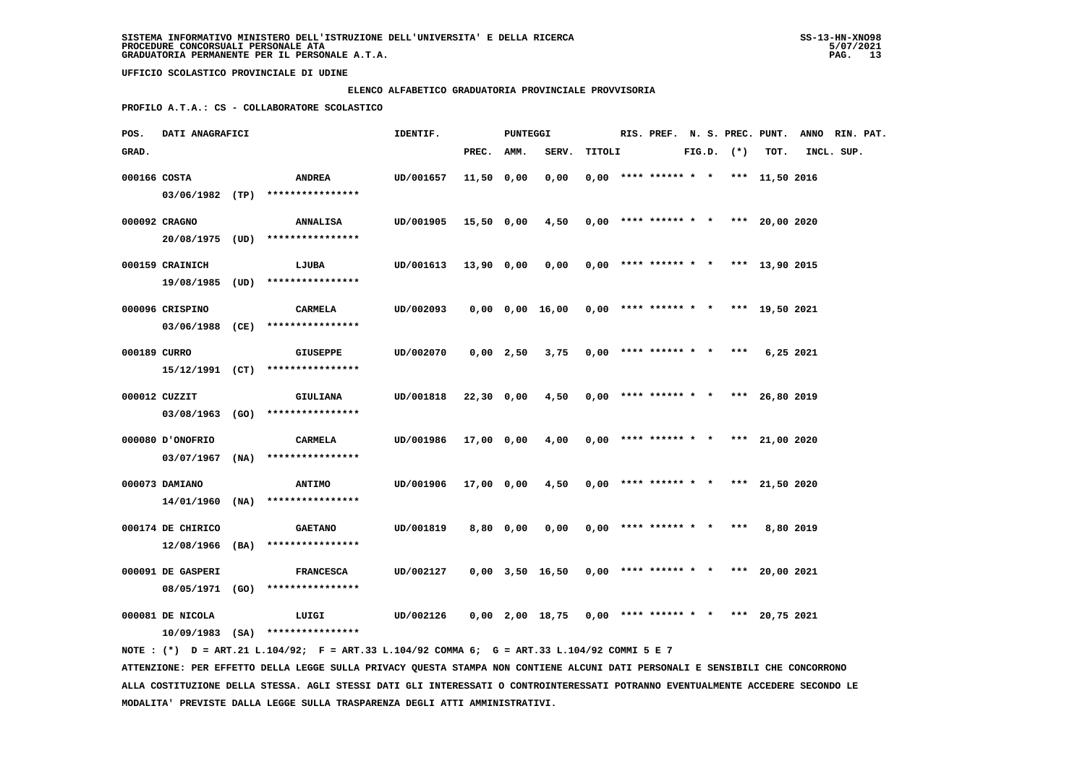#### **ELENCO ALFABETICO GRADUATORIA PROVINCIALE PROVVISORIA**

 **PROFILO A.T.A.: CS - COLLABORATORE SCOLASTICO**

| POS.         | DATI ANAGRAFICI   |                                                                                                                                   | IDENTIF.  |            | PUNTEGGI    |                                                             |        |                            |  |                | RIS. PREF. N. S. PREC. PUNT.          | ANNO RIN. PAT. |  |
|--------------|-------------------|-----------------------------------------------------------------------------------------------------------------------------------|-----------|------------|-------------|-------------------------------------------------------------|--------|----------------------------|--|----------------|---------------------------------------|----------------|--|
| GRAD.        |                   |                                                                                                                                   |           | PREC.      | AMM.        | SERV.                                                       | TITOLI |                            |  | $FIG.D.$ $(*)$ | TOT.                                  | INCL. SUP.     |  |
|              | 000166 COSTA      | <b>ANDREA</b>                                                                                                                     | UD/001657 | 11,50 0,00 |             | 0,00                                                        |        |                            |  |                | $0,00$ **** ****** * * *** 11,50 2016 |                |  |
|              |                   | $03/06/1982$ (TP) ****************                                                                                                |           |            |             |                                                             |        |                            |  |                |                                       |                |  |
|              | 000092 CRAGNO     | <b>ANNALISA</b>                                                                                                                   | UD/001905 | 15,50 0,00 |             | 4,50                                                        |        |                            |  |                | $0,00$ **** ****** * * *** 20,00 2020 |                |  |
|              |                   | 20/08/1975 (UD) ****************                                                                                                  |           |            |             |                                                             |        |                            |  |                |                                       |                |  |
|              | 000159 CRAINICH   | LJUBA                                                                                                                             | UD/001613 | 13,90 0,00 |             | 0,00                                                        |        |                            |  |                | $0,00$ **** ****** * * *** 13,90 2015 |                |  |
|              |                   | 19/08/1985 (UD) ****************                                                                                                  |           |            |             |                                                             |        |                            |  |                |                                       |                |  |
|              | 000096 CRISPINO   | CARMELA                                                                                                                           | UD/002093 |            |             | $0,00$ $0,00$ $16,00$ $0,00$ **** ****** * * *** 19,50 2021 |        |                            |  |                |                                       |                |  |
|              | 03/06/1988 (CE)   | ****************                                                                                                                  |           |            |             |                                                             |        |                            |  |                |                                       |                |  |
| 000189 CURRO |                   | <b>GIUSEPPE</b>                                                                                                                   | UD/002070 |            | $0,00$ 2,50 | 3,75                                                        |        | $0,00$ **** ****** * *     |  | $***$          | 6,25 2021                             |                |  |
|              |                   | $15/12/1991$ (CT) ****************                                                                                                |           |            |             |                                                             |        |                            |  |                |                                       |                |  |
|              | 000012 CUZZIT     | GIULIANA                                                                                                                          | UD/001818 | 22,30 0,00 |             | 4,50                                                        |        |                            |  |                | $0,00$ **** ****** * * *** 26,80 2019 |                |  |
|              |                   | 03/08/1963 (GO) ****************                                                                                                  |           |            |             |                                                             |        |                            |  |                |                                       |                |  |
|              | 000080 D'ONOFRIO  | <b>CARMELA</b>                                                                                                                    | UD/001986 | 17,00 0,00 |             | 4,00                                                        |        |                            |  |                | $0,00$ **** ****** * * *** 21,00 2020 |                |  |
|              |                   | $03/07/1967$ (NA) ****************                                                                                                |           |            |             |                                                             |        |                            |  |                |                                       |                |  |
|              | 000073 DAMIANO    | <b>ANTIMO</b>                                                                                                                     | UD/001906 | 17,00 0,00 |             | 4,50                                                        |        |                            |  |                | $0,00$ **** ****** * * *** 21,50 2020 |                |  |
|              |                   | $14/01/1960$ (NA) *****************                                                                                               |           |            |             |                                                             |        |                            |  |                |                                       |                |  |
|              | 000174 DE CHIRICO | <b>GAETANO</b>                                                                                                                    | UD/001819 |            | 8,80 0,00   | 0,00                                                        |        | $0,00$ **** ****** * * *** |  |                | 8,80 2019                             |                |  |
|              | $12/08/1966$ (BA) | ****************                                                                                                                  |           |            |             |                                                             |        |                            |  |                |                                       |                |  |
|              | 000091 DE GASPERI | <b>FRANCESCA</b>                                                                                                                  | UD/002127 |            |             | 0,00 3,50 16,50                                             |        |                            |  |                | $0,00$ **** ****** * * *** 20,00 2021 |                |  |
|              | 08/05/1971 (GO)   | ****************                                                                                                                  |           |            |             |                                                             |        |                            |  |                |                                       |                |  |
|              |                   |                                                                                                                                   |           |            |             |                                                             |        |                            |  |                |                                       |                |  |
|              | 000081 DE NICOLA  | LUIGI                                                                                                                             | UD/002126 |            |             | 0,00 2,00 18,75                                             |        |                            |  |                | $0,00$ **** ****** * * *** 20,75 2021 |                |  |
|              |                   | $10/09/1983$ (SA) ****************<br>NOTE: (*) D = ART.21 L.104/92; F = ART.33 L.104/92 COMMA 6; G = ART.33 L.104/92 COMMI 5 E 7 |           |            |             |                                                             |        |                            |  |                |                                       |                |  |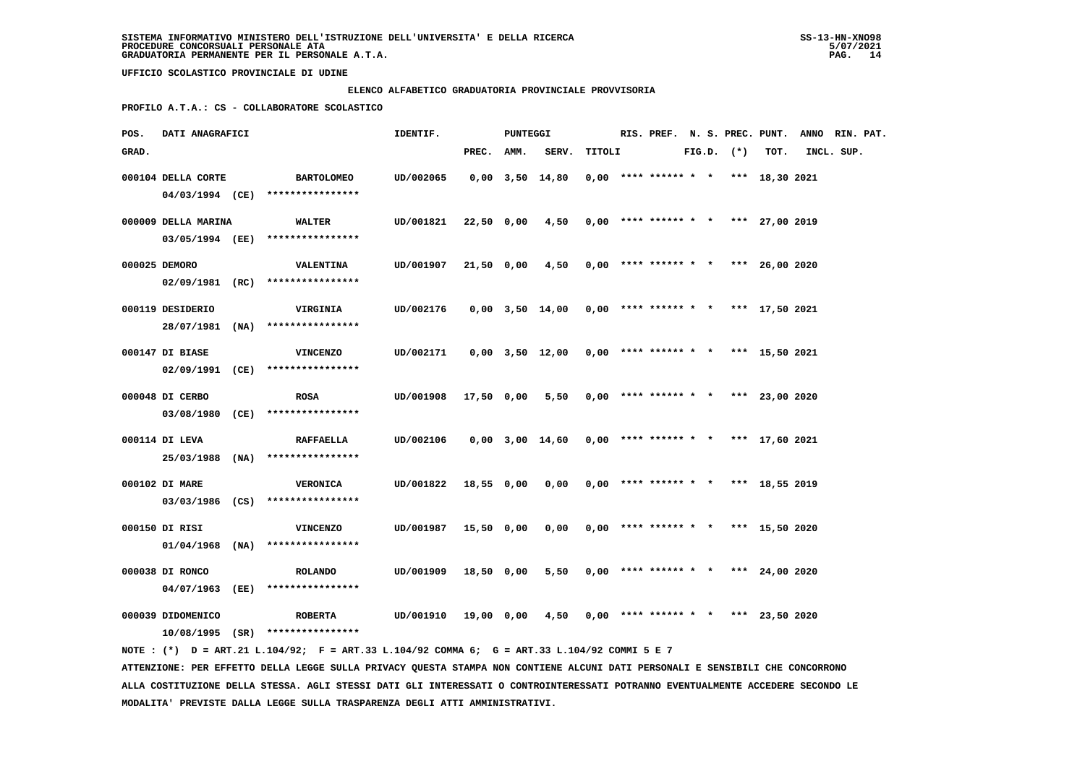#### **ELENCO ALFABETICO GRADUATORIA PROVINCIALE PROVVISORIA**

 **PROFILO A.T.A.: CS - COLLABORATORE SCOLASTICO**

| POS.  | DATI ANAGRAFICI     |                                                                                             | IDENTIF.  |            | <b>PUNTEGGI</b> |                                                       |        |                                       |  |                | RIS. PREF. N. S. PREC. PUNT. ANNO RIN. PAT. |            |  |
|-------|---------------------|---------------------------------------------------------------------------------------------|-----------|------------|-----------------|-------------------------------------------------------|--------|---------------------------------------|--|----------------|---------------------------------------------|------------|--|
| GRAD. |                     |                                                                                             |           | PREC.      | AMM.            | SERV.                                                 | TITOLI |                                       |  | $FIG.D.$ $(*)$ | TOT.                                        | INCL. SUP. |  |
|       | 000104 DELLA CORTE  | <b>BARTOLOMEO</b>                                                                           | UD/002065 |            |                 | $0,00$ $3,50$ $14,80$                                 |        | $0,00$ **** ****** * * *** 18,30 2021 |  |                |                                             |            |  |
|       |                     | 04/03/1994 (CE) ****************                                                            |           |            |                 |                                                       |        |                                       |  |                |                                             |            |  |
|       | 000009 DELLA MARINA | <b>WALTER</b>                                                                               | UD/001821 |            |                 | 22,50 0,00 4,50                                       |        | $0,00$ **** ****** * * *** 27,00 2019 |  |                |                                             |            |  |
|       |                     | 03/05/1994 (EE) ****************                                                            |           |            |                 |                                                       |        |                                       |  |                |                                             |            |  |
|       | 000025 DEMORO       | <b>VALENTINA</b>                                                                            | UD/001907 | 21,50 0,00 |                 | 4,50                                                  |        | $0,00$ **** ****** * * *** 26,00 2020 |  |                |                                             |            |  |
|       |                     | 02/09/1981 (RC) ****************                                                            |           |            |                 |                                                       |        |                                       |  |                |                                             |            |  |
|       | 000119 DESIDERIO    | <b>VIRGINIA</b>                                                                             | UD/002176 |            |                 | $0,00$ 3,50 14,00 0,00 **** ****** * * *** 17,50 2021 |        |                                       |  |                |                                             |            |  |
|       |                     | 28/07/1981 (NA) ****************                                                            |           |            |                 |                                                       |        |                                       |  |                |                                             |            |  |
|       | 000147 DI BIASE     | <b>VINCENZO</b>                                                                             | UD/002171 |            |                 | $0,00$ $3,50$ $12,00$                                 |        | $0,00$ **** ****** * * *** 15,50 2021 |  |                |                                             |            |  |
|       |                     | 02/09/1991 (CE) ****************                                                            |           |            |                 |                                                       |        |                                       |  |                |                                             |            |  |
|       |                     |                                                                                             |           |            |                 |                                                       |        |                                       |  |                |                                             |            |  |
|       | 000048 DI CERBO     | <b>ROSA</b>                                                                                 | UD/001908 | 17,50 0,00 |                 | 5,50                                                  |        | $0.00$ **** ****** * * *** 23.00 2020 |  |                |                                             |            |  |
|       |                     | 03/08/1980 (CE) ****************                                                            |           |            |                 |                                                       |        |                                       |  |                |                                             |            |  |
|       | 000114 DI LEVA      | <b>RAFFAELLA</b>                                                                            | UD/002106 |            |                 | $0,00$ 3,00 14,60 0,00 **** ****** * *** 17,60 2021   |        |                                       |  |                |                                             |            |  |
|       |                     | $25/03/1988$ (NA) *****************                                                         |           |            |                 |                                                       |        |                                       |  |                |                                             |            |  |
|       | 000102 DI MARE      | <b>VERONICA</b>                                                                             | UD/001822 | 18,55 0,00 |                 | 0,00                                                  |        | $0,00$ **** ****** * * *** 18,55 2019 |  |                |                                             |            |  |
|       |                     | $03/03/1986$ (CS) ****************                                                          |           |            |                 |                                                       |        |                                       |  |                |                                             |            |  |
|       | 000150 DI RISI      | <b>VINCENZO</b>                                                                             | UD/001987 | 15,50 0,00 |                 | 0,00                                                  |        | $0.00$ **** ****** * * *** 15.50 2020 |  |                |                                             |            |  |
|       | $01/04/1968$ (NA)   | ****************                                                                            |           |            |                 |                                                       |        |                                       |  |                |                                             |            |  |
|       |                     |                                                                                             |           |            |                 |                                                       |        |                                       |  |                |                                             |            |  |
|       | 000038 DI RONCO     | <b>ROLANDO</b>                                                                              | UD/001909 | 18,50 0,00 |                 | 5,50                                                  |        | $0,00$ **** ****** * * *** 24,00 2020 |  |                |                                             |            |  |
|       | 04/07/1963 (EE)     | ****************                                                                            |           |            |                 |                                                       |        |                                       |  |                |                                             |            |  |
|       | 000039 DIDOMENICO   | <b>ROBERTA</b>                                                                              | UD/001910 | 19,00 0,00 |                 | 4,50                                                  |        | $0,00$ **** ****** * * *** 23,50 2020 |  |                |                                             |            |  |
|       |                     | $10/08/1995$ (SR) ****************                                                          |           |            |                 |                                                       |        |                                       |  |                |                                             |            |  |
|       |                     | NOTE: (*) D = ART.21 L.104/92; F = ART.33 L.104/92 COMMA 6; G = ART.33 L.104/92 COMMI 5 E 7 |           |            |                 |                                                       |        |                                       |  |                |                                             |            |  |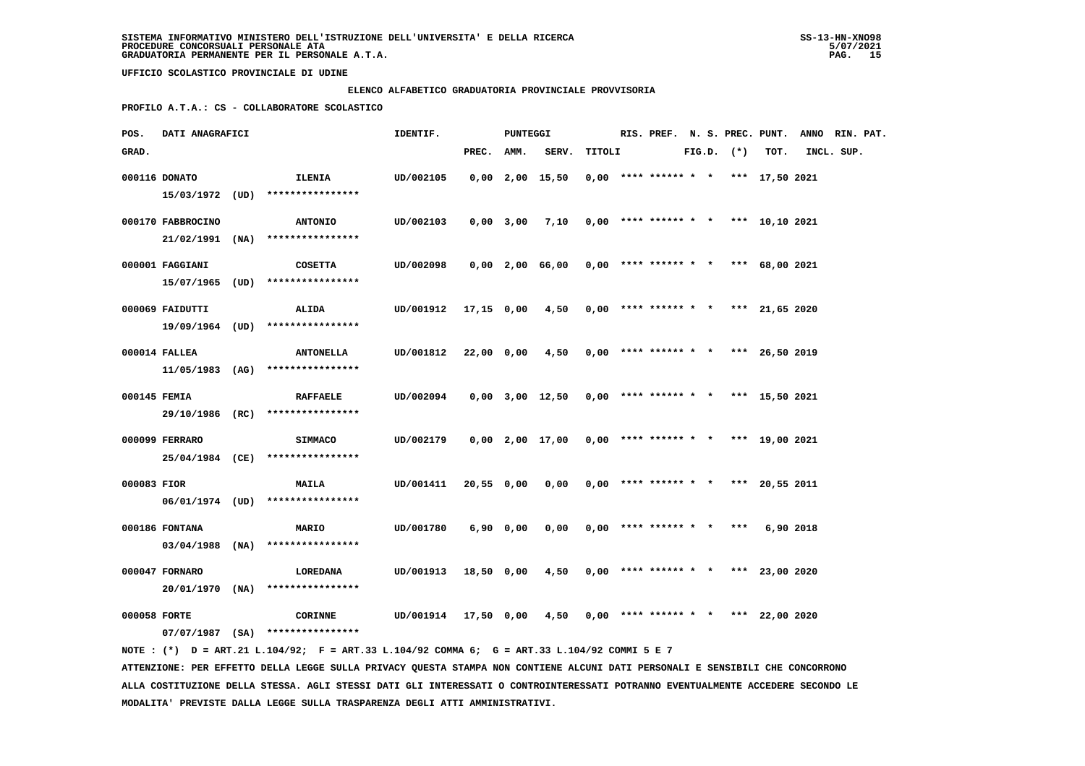#### **ELENCO ALFABETICO GRADUATORIA PROVINCIALE PROVVISORIA**

 **PROFILO A.T.A.: CS - COLLABORATORE SCOLASTICO**

| POS.        | DATI ANAGRAFICI   |                                                        | IDENTIF.             |            | PUNTEGGI  |                                            |        |                                       |  |                |           | RIS. PREF. N. S. PREC. PUNT. ANNO RIN. PAT. |  |
|-------------|-------------------|--------------------------------------------------------|----------------------|------------|-----------|--------------------------------------------|--------|---------------------------------------|--|----------------|-----------|---------------------------------------------|--|
| GRAD.       |                   |                                                        |                      | PREC. AMM. |           | SERV.                                      | TITOLI |                                       |  | $FIG.D.$ $(*)$ | TOT.      | INCL. SUP.                                  |  |
|             | 000116 DONATO     | <b>ILENIA</b><br>15/03/1972 (UD) ****************      | UD/002105            |            |           | $0,00$ $2,00$ $15,50$                      |        | $0,00$ **** ****** * * *** 17,50 2021 |  |                |           |                                             |  |
|             | 000170 FABBROCINO | <b>ANTONIO</b><br>$21/02/1991$ (NA) *****************  | UD/002103            |            |           | 0,00 3,00 7,10                             |        | $0,00$ **** ****** * * *** 10,10 2021 |  |                |           |                                             |  |
|             | 000001 FAGGIANI   | <b>COSETTA</b><br>15/07/1965 (UD) ****************     | UD/002098            |            |           | 0,00 2,00 66,00                            |        | $0,00$ **** ****** * * *** 68,00 2021 |  |                |           |                                             |  |
|             | 000069 FAIDUTTI   | <b>ALIDA</b><br>19/09/1964 (UD) ****************       | UD/001912            | 17,15 0,00 |           | 4,50                                       |        | $0,00$ **** ****** * * *** 21,65 2020 |  |                |           |                                             |  |
|             | 000014 FALLEA     | <b>ANTONELLA</b><br>$11/05/1983$ (AG) **************** | UD/001812            | 22,00 0,00 |           | $4,50$ 0,00 **** ****** * * *** 26,50 2019 |        |                                       |  |                |           |                                             |  |
|             | 000145 FEMIA      | <b>RAFFAELE</b><br>29/10/1986 (RC) ****************    | UD/002094            |            |           | $0,00$ $3,00$ $12,50$                      |        | $0,00$ **** ****** * * *** 15,50 2021 |  |                |           |                                             |  |
|             | 000099 FERRARO    | SIMMACO<br>25/04/1984 (CE) ****************            | UD/002179            |            |           | $0,00$ $2,00$ $17,00$                      |        | $0,00$ **** ****** * * *** 19,00 2021 |  |                |           |                                             |  |
| 000083 FIOR |                   | <b>MAILA</b><br>$06/01/1974$ (UD) *****************    | UD/001411            | 20,55 0,00 |           | $0,00$ 0,00 **** ****** * * *** 20,55 2011 |        |                                       |  |                |           |                                             |  |
|             | 000186 FONTANA    | <b>MARIO</b><br>$03/04/1988$ (NA) ****************     | UD/001780            |            | 6,90 0,00 | 0,00                                       |        | 0,00 **** ****** * * ***              |  |                | 6,90 2018 |                                             |  |
|             | 000047 FORNARO    | LOREDANA<br>$20/01/1970$ (NA) ****************         | UD/001913            | 18,50 0,00 |           | 4,50                                       |        | $0,00$ **** ****** * * *** 23,00 2020 |  |                |           |                                             |  |
|             | 000058 FORTE      | CORINNE<br>$07/07/1987$ (SA) ****************          | UD/001914 17,50 0,00 |            |           | 4,50                                       |        | $0,00$ **** ****** * * *** 22,00 2020 |  |                |           |                                             |  |

 **NOTE : (\*) D = ART.21 L.104/92; F = ART.33 L.104/92 COMMA 6; G = ART.33 L.104/92 COMMI 5 E 7 ATTENZIONE: PER EFFETTO DELLA LEGGE SULLA PRIVACY QUESTA STAMPA NON CONTIENE ALCUNI DATI PERSONALI E SENSIBILI CHE CONCORRONO ALLA COSTITUZIONE DELLA STESSA. AGLI STESSI DATI GLI INTERESSATI O CONTROINTERESSATI POTRANNO EVENTUALMENTE ACCEDERE SECONDO LE MODALITA' PREVISTE DALLA LEGGE SULLA TRASPARENZA DEGLI ATTI AMMINISTRATIVI.**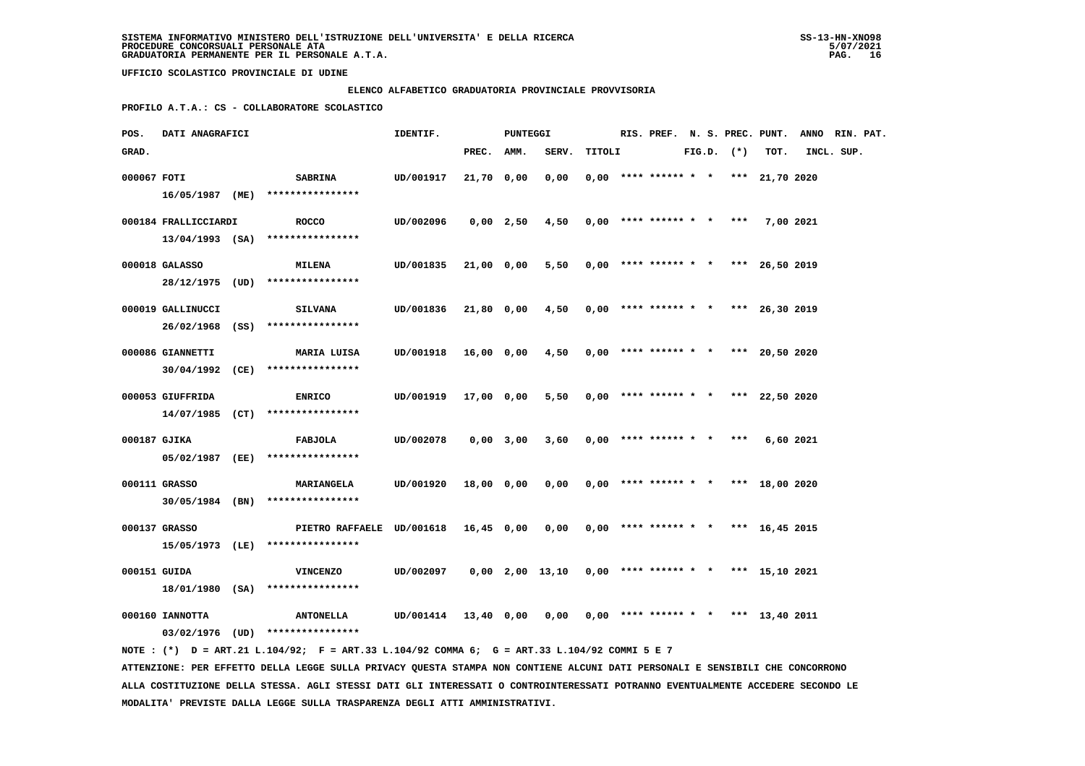### **ELENCO ALFABETICO GRADUATORIA PROVINCIALE PROVVISORIA**

 **PROFILO A.T.A.: CS - COLLABORATORE SCOLASTICO**

| POS.         | DATI ANAGRAFICI      |                                                                                                                               | IDENTIF.             |            | PUNTEGGI    |                                                     |        |                            |  |                | RIS. PREF. N. S. PREC. PUNT.          | ANNO RIN. PAT. |  |
|--------------|----------------------|-------------------------------------------------------------------------------------------------------------------------------|----------------------|------------|-------------|-----------------------------------------------------|--------|----------------------------|--|----------------|---------------------------------------|----------------|--|
| GRAD.        |                      |                                                                                                                               |                      | PREC. AMM. |             | SERV.                                               | TITOLI |                            |  | $FIG.D.$ $(*)$ | TOT.                                  | INCL. SUP.     |  |
| 000067 FOTI  |                      | <b>SABRINA</b>                                                                                                                | UD/001917            | 21,70 0,00 |             | 0,00                                                |        |                            |  |                | $0,00$ **** ****** * * *** 21,70 2020 |                |  |
|              |                      | 16/05/1987 (ME) ****************                                                                                              |                      |            |             |                                                     |        |                            |  |                |                                       |                |  |
|              |                      |                                                                                                                               |                      |            |             |                                                     |        |                            |  |                |                                       |                |  |
|              | 000184 FRALLICCIARDI | <b>ROCCO</b>                                                                                                                  | UD/002096            |            | $0,00$ 2,50 | 4,50                                                |        |                            |  |                | $0,00$ **** ****** * * *** 7,00 2021  |                |  |
|              |                      | $13/04/1993$ (SA) *****************                                                                                           |                      |            |             |                                                     |        |                            |  |                |                                       |                |  |
|              | 000018 GALASSO       | <b>MILENA</b>                                                                                                                 | UD/001835            | 21,00 0,00 |             | 5,50                                                |        |                            |  |                | $0,00$ **** ****** * * *** 26,50 2019 |                |  |
|              |                      | 28/12/1975 (UD) ****************                                                                                              |                      |            |             |                                                     |        |                            |  |                |                                       |                |  |
|              | 000019 GALLINUCCI    | <b>SILVANA</b>                                                                                                                | UD/001836            | 21,80 0,00 |             | 4,50                                                |        |                            |  |                | $0,00$ **** ****** * * *** 26,30 2019 |                |  |
|              |                      | 26/02/1968 (SS) ****************                                                                                              |                      |            |             |                                                     |        |                            |  |                |                                       |                |  |
|              |                      |                                                                                                                               |                      |            |             |                                                     |        |                            |  |                |                                       |                |  |
|              | 000086 GIANNETTI     | MARIA LUISA                                                                                                                   | UD/001918            | 16,00 0,00 |             | 4,50                                                |        |                            |  |                | $0,00$ **** ****** * * *** 20,50 2020 |                |  |
|              |                      | 30/04/1992 (CE) ****************                                                                                              |                      |            |             |                                                     |        |                            |  |                |                                       |                |  |
|              | 000053 GIUFFRIDA     | <b>ENRICO</b>                                                                                                                 | UD/001919            | 17,00 0,00 |             | 5,50                                                |        |                            |  |                | $0,00$ **** ****** * * *** 22,50 2020 |                |  |
|              |                      | 14/07/1985 (CT) ****************                                                                                              |                      |            |             |                                                     |        |                            |  |                |                                       |                |  |
| 000187 GJIKA |                      |                                                                                                                               | UD/002078            |            | $0,00$ 3,00 |                                                     |        |                            |  |                |                                       |                |  |
|              |                      | FABJOLA<br>05/02/1987 (EE) ****************                                                                                   |                      |            |             | 3,60                                                |        | $0,00$ **** ****** * * *** |  |                | 6,60 2021                             |                |  |
|              |                      |                                                                                                                               |                      |            |             |                                                     |        |                            |  |                |                                       |                |  |
|              | 000111 GRASSO        | <b>MARIANGELA</b>                                                                                                             | UD/001920            | 18,00 0,00 |             | 0,00                                                |        |                            |  |                | $0,00$ **** ****** * * *** 18,00 2020 |                |  |
|              |                      | $30/05/1984$ (BN) ****************                                                                                            |                      |            |             |                                                     |        |                            |  |                |                                       |                |  |
|              | 000137 GRASSO        | PIETRO RAFFAELE UD/001618 16,45 0,00                                                                                          |                      |            |             | 0,00                                                |        |                            |  |                | $0,00$ **** ****** * * *** 16,45 2015 |                |  |
|              |                      | 15/05/1973 (LE) ****************                                                                                              |                      |            |             |                                                     |        |                            |  |                |                                       |                |  |
|              |                      |                                                                                                                               |                      |            |             |                                                     |        |                            |  |                |                                       |                |  |
| 000151 GUIDA |                      | <b>VINCENZO</b>                                                                                                               | UD/002097            |            |             | $0,00$ 2,00 13,10 0,00 **** ****** * *** 15,10 2021 |        |                            |  |                |                                       |                |  |
|              |                      | 18/01/1980 (SA) ****************                                                                                              |                      |            |             |                                                     |        |                            |  |                |                                       |                |  |
|              | 000160 IANNOTTA      | <b>ANTONELLA</b>                                                                                                              | UD/001414 13,40 0,00 |            |             | 0,00                                                |        |                            |  |                | $0,00$ **** ****** * * *** 13,40 2011 |                |  |
|              |                      | 03/02/1976 (UD) ****************                                                                                              |                      |            |             |                                                     |        |                            |  |                |                                       |                |  |
|              |                      | NOTE: (*) D = ART.21 L.104/92; F = ART.33 L.104/92 COMMA 6; G = ART.33 L.104/92 COMMI 5 E 7                                   |                      |            |             |                                                     |        |                            |  |                |                                       |                |  |
|              |                      | ATTENZIONE: PER EFFETTO DELLA LEGGE SULLA PRIVACY QUESTA STAMPA NON CONTIENE ALCUNI DATI PERSONALI E SENSIBILI CHE CONCORRONO |                      |            |             |                                                     |        |                            |  |                |                                       |                |  |
|              |                      |                                                                                                                               |                      |            |             |                                                     |        |                            |  |                |                                       |                |  |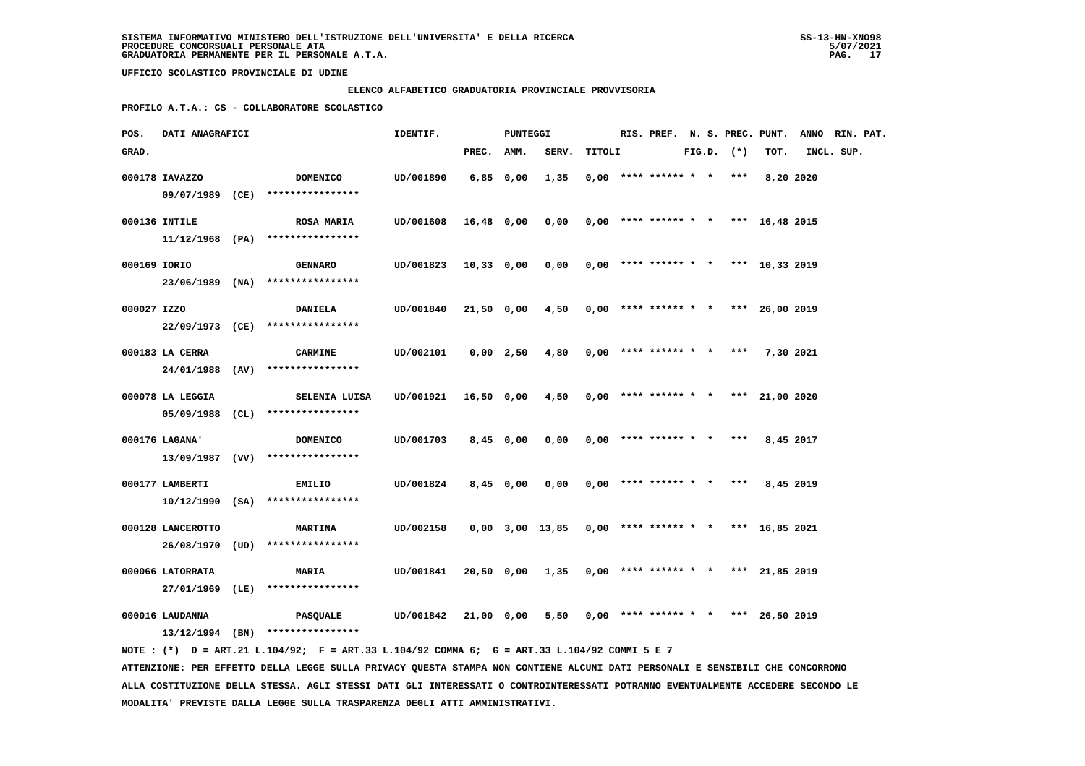#### **ELENCO ALFABETICO GRADUATORIA PROVINCIALE PROVVISORIA**

 **PROFILO A.T.A.: CS - COLLABORATORE SCOLASTICO**

| POS.         | DATI ANAGRAFICI   |                                                                                             | IDENTIF.  |             | PUNTEGGI    |                                                       |        |                            |  |                | RIS. PREF. N. S. PREC. PUNT.          | ANNO RIN. PAT. |  |
|--------------|-------------------|---------------------------------------------------------------------------------------------|-----------|-------------|-------------|-------------------------------------------------------|--------|----------------------------|--|----------------|---------------------------------------|----------------|--|
| GRAD.        |                   |                                                                                             |           | PREC. AMM.  |             | SERV.                                                 | TITOLI |                            |  | $FIG.D.$ $(*)$ | TOT.                                  | INCL. SUP.     |  |
|              | 000178 IAVAZZO    | <b>DOMENICO</b>                                                                             | UD/001890 | $6,85$ 0,00 |             | 1,35                                                  |        | $0,00$ **** ****** * * *** |  |                | 8,20 2020                             |                |  |
|              |                   | 09/07/1989 (CE) ****************                                                            |           |             |             |                                                       |        |                            |  |                |                                       |                |  |
|              | 000136 INTILE     | <b>ROSA MARIA</b>                                                                           | UD/001608 | 16,48 0,00  |             | 0,00                                                  |        |                            |  |                | $0,00$ **** ****** * * *** 16,48 2015 |                |  |
|              |                   | $11/12/1968$ (PA) ****************                                                          |           |             |             |                                                       |        |                            |  |                |                                       |                |  |
| 000169 IORIO |                   | <b>GENNARO</b>                                                                              | UD/001823 | 10,33 0,00  |             | 0,00                                                  |        |                            |  |                | $0,00$ **** ****** * * *** 10,33 2019 |                |  |
|              |                   | 23/06/1989 (NA) ****************                                                            |           |             |             |                                                       |        |                            |  |                |                                       |                |  |
| 000027 IZZO  |                   | <b>DANIELA</b>                                                                              | UD/001840 |             |             | $21,50$ 0,00 $4,50$ 0,00 **** ****** * *** 26,00 2019 |        |                            |  |                |                                       |                |  |
|              |                   | 22/09/1973 (CE) ****************                                                            |           |             |             |                                                       |        |                            |  |                |                                       |                |  |
|              | 000183 LA CERRA   | <b>CARMINE</b>                                                                              | UD/002101 |             | $0,00$ 2,50 | 4,80                                                  |        |                            |  |                | $0,00$ **** ****** * * *** 7,30 2021  |                |  |
|              |                   | 24/01/1988 (AV) ****************                                                            |           |             |             |                                                       |        |                            |  |                |                                       |                |  |
|              | 000078 LA LEGGIA  | SELENIA LUISA                                                                               | UD/001921 | 16,50 0,00  |             | 4,50                                                  |        |                            |  |                | $0.00$ **** ****** * * *** 21.00 2020 |                |  |
|              |                   | 05/09/1988 (CL) ****************                                                            |           |             |             |                                                       |        |                            |  |                |                                       |                |  |
|              | 000176 LAGANA'    | <b>DOMENICO</b>                                                                             | UD/001703 |             | 8,45 0,00   | 0,00                                                  |        | $0,00$ **** ****** * * *** |  |                | 8,45 2017                             |                |  |
|              |                   | $13/09/1987$ (VV) ****************                                                          |           |             |             |                                                       |        |                            |  |                |                                       |                |  |
|              | 000177 LAMBERTI   | <b>EMILIO</b>                                                                               | UD/001824 |             | 8,45 0,00   | 0,00                                                  |        | $0,00$ **** ****** * * *** |  |                | 8,45 2019                             |                |  |
|              |                   | $10/12/1990$ (SA) ****************                                                          |           |             |             |                                                       |        |                            |  |                |                                       |                |  |
|              | 000128 LANCEROTTO | <b>MARTINA</b>                                                                              | UD/002158 |             |             | $0,00$ 3,00 13,85 0,00 **** ****** * *** 16,85 2021   |        |                            |  |                |                                       |                |  |
|              |                   | 26/08/1970 (UD) ****************                                                            |           |             |             |                                                       |        |                            |  |                |                                       |                |  |
|              | 000066 LATORRATA  | <b>MARIA</b>                                                                                | UD/001841 |             |             | 20,50 0,00 1,35                                       |        |                            |  |                | $0,00$ **** ****** * * *** 21,85 2019 |                |  |
|              |                   | 27/01/1969 (LE) ****************                                                            |           |             |             |                                                       |        |                            |  |                |                                       |                |  |
|              | 000016 LAUDANNA   | PASQUALE                                                                                    | UD/001842 | 21,00 0,00  |             | $5,50$ 0,00 **** ****** * * *** 26,50 2019            |        |                            |  |                |                                       |                |  |
|              |                   | $13/12/1994$ (BN) *****************                                                         |           |             |             |                                                       |        |                            |  |                |                                       |                |  |
|              |                   | NOTE: (*) D = ART.21 L.104/92; F = ART.33 L.104/92 COMMA 6; G = ART.33 L.104/92 COMMI 5 E 7 |           |             |             |                                                       |        |                            |  |                |                                       |                |  |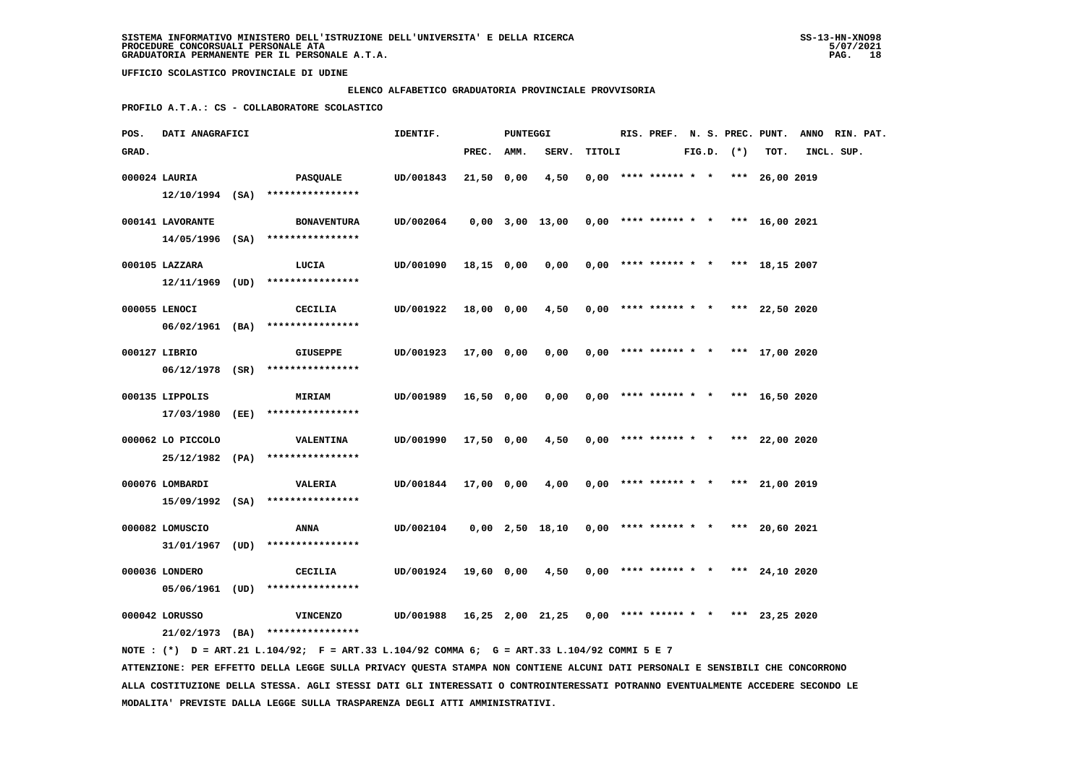#### **ELENCO ALFABETICO GRADUATORIA PROVINCIALE PROVVISORIA**

 **PROFILO A.T.A.: CS - COLLABORATORE SCOLASTICO**

| POS.  | DATI ANAGRAFICI   |                                                                                              | IDENTIF.                                                       |              | PUNTEGGI |                                                       |        |  |  |                | RIS. PREF. N. S. PREC. PUNT.          | ANNO RIN. PAT. |  |
|-------|-------------------|----------------------------------------------------------------------------------------------|----------------------------------------------------------------|--------------|----------|-------------------------------------------------------|--------|--|--|----------------|---------------------------------------|----------------|--|
| GRAD. |                   |                                                                                              |                                                                | PREC. AMM.   |          | SERV.                                                 | TITOLI |  |  | $FIG.D.$ $(*)$ | TOT.                                  | INCL. SUP.     |  |
|       | 000024 LAURIA     | PASQUALE<br>$12/10/1994$ (SA) ****************                                               | UD/001843                                                      | $21,50$ 0,00 |          | 4,50                                                  |        |  |  |                | $0,00$ **** ****** * * *** 26,00 2019 |                |  |
|       | 000141 LAVORANTE  | <b>BONAVENTURA</b><br>14/05/1996 (SA) ****************                                       | UD/002064                                                      |              |          | $0,00$ 3,00 13,00 0,00 **** ****** * *** 16,00 2021   |        |  |  |                |                                       |                |  |
|       | 000105 LAZZARA    | LUCIA<br>12/11/1969 (UD) ****************                                                    | UD/001090                                                      | 18,15 0,00   |          | 0,00                                                  |        |  |  |                | $0,00$ **** ****** * * *** 18,15 2007 |                |  |
|       | 000055 LENOCI     | CECILIA<br>06/02/1961 (BA) ****************                                                  | UD/001922                                                      |              |          | $18,00$ 0,00 4,50 0,00 **** ****** * * *** 22,50 2020 |        |  |  |                |                                       |                |  |
|       | 000127 LIBRIO     | <b>GIUSEPPE</b><br>06/12/1978 (SR) ****************                                          | UD/001923                                                      | 17,00 0,00   |          | 0,00                                                  |        |  |  |                | $0.00$ **** ****** * * *** 17.00 2020 |                |  |
|       | 000135 LIPPOLIS   | <b>MIRIAM</b><br>17/03/1980 (EE) ****************                                            | UD/001989                                                      | 16,50 0,00   |          | 0,00                                                  |        |  |  |                | $0,00$ **** ****** * * *** 16,50 2020 |                |  |
|       | 000062 LO PICCOLO | <b>VALENTINA</b><br>25/12/1982 (PA) ****************                                         | UD/001990                                                      | 17,50 0,00   |          | 4,50                                                  |        |  |  |                | $0,00$ **** ****** * * *** 22,00 2020 |                |  |
|       | 000076 LOMBARDI   | <b>VALERIA</b><br>15/09/1992 (SA) ****************                                           | UD/001844                                                      | 17,00 0,00   |          | 4,00                                                  |        |  |  |                | $0,00$ **** ****** * * *** 21,00 2019 |                |  |
|       | 000082 LOMUSCIO   | ANNA<br>31/01/1967 (UD) ****************                                                     | UD/002104                                                      |              |          | 0,00 2,50 18,10                                       |        |  |  |                | $0.00$ **** ****** * * *** 20.60 2021 |                |  |
|       | 000036 LONDERO    | CECILIA<br>$05/06/1961$ (UD) ****************                                                | UD/001924 19,60 0,00 4,50                                      |              |          |                                                       |        |  |  |                | $0,00$ **** ****** * * *** 24,10 2020 |                |  |
|       | 000042 LORUSSO    | <b>VINCENZO</b><br>21/02/1973 (BA) ****************                                          | UD/001988 16,25 2,00 21,25 0,00 **** ****** * * *** 23,25 2020 |              |          |                                                       |        |  |  |                |                                       |                |  |
|       |                   | NOTE : (*) D = ART.21 L.104/92; F = ART.33 L.104/92 COMMA 6; G = ART.33 L.104/92 COMMI 5 E 7 |                                                                |              |          |                                                       |        |  |  |                |                                       |                |  |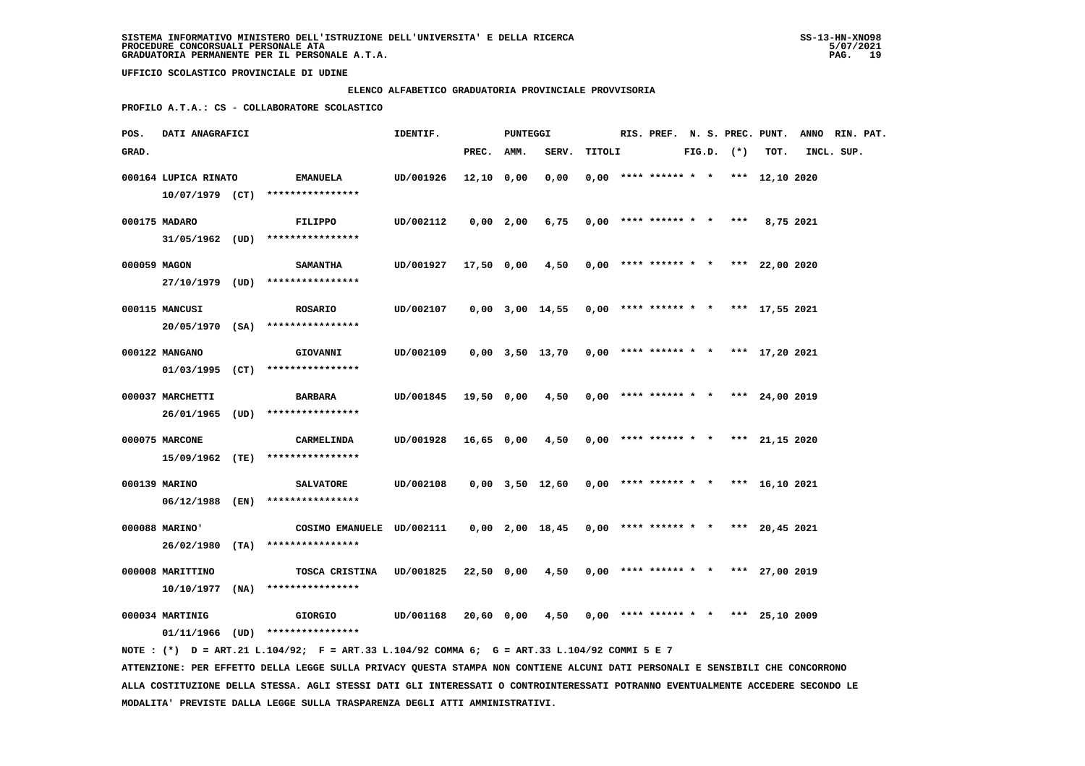### **ELENCO ALFABETICO GRADUATORIA PROVINCIALE PROVVISORIA**

 **PROFILO A.T.A.: CS - COLLABORATORE SCOLASTICO**

| POS.         | DATI ANAGRAFICI      |                                                                                                                                 | IDENTIF.  |              | <b>PUNTEGGI</b> |                   |        |  |                            |  |                | RIS. PREF. N. S. PREC. PUNT. ANNO RIN. PAT. |            |  |
|--------------|----------------------|---------------------------------------------------------------------------------------------------------------------------------|-----------|--------------|-----------------|-------------------|--------|--|----------------------------|--|----------------|---------------------------------------------|------------|--|
| GRAD.        |                      |                                                                                                                                 |           | PREC. AMM.   |                 | SERV.             | TITOLI |  |                            |  | $FIG.D.$ $(*)$ | TOT.                                        | INCL. SUP. |  |
|              | 000164 LUPICA RINATO | <b>EMANUELA</b>                                                                                                                 | UD/001926 | $12,10$ 0,00 |                 | 0,00              |        |  | $0,00$ **** ****** * *     |  |                | *** 12,10 2020                              |            |  |
|              |                      | $10/07/1979$ (CT) ****************                                                                                              |           |              |                 |                   |        |  |                            |  |                |                                             |            |  |
|              |                      |                                                                                                                                 |           |              |                 |                   |        |  |                            |  |                |                                             |            |  |
|              | 000175 MADARO        | FILIPPO                                                                                                                         | UD/002112 |              | $0,00$ 2,00     | 6,75              |        |  | $0,00$ **** ****** * * *** |  |                | 8,75 2021                                   |            |  |
|              |                      | $31/05/1962$ (UD) ****************                                                                                              |           |              |                 |                   |        |  |                            |  |                |                                             |            |  |
| 000059 MAGON |                      | <b>SAMANTHA</b>                                                                                                                 | UD/001927 | 17,50 0,00   |                 | 4,50              |        |  | $0,00$ **** ****** * *     |  |                | *** 22,00 2020                              |            |  |
|              |                      | 27/10/1979 (UD) ****************                                                                                                |           |              |                 |                   |        |  |                            |  |                |                                             |            |  |
|              | 000115 MANCUSI       | <b>ROSARIO</b>                                                                                                                  | UD/002107 |              |                 | 0,00 3,00 14,55   |        |  | $0,00$ **** ****** * *     |  |                | *** 17,55 2021                              |            |  |
|              |                      | 20/05/1970 (SA) ****************                                                                                                |           |              |                 |                   |        |  |                            |  |                |                                             |            |  |
|              |                      |                                                                                                                                 |           |              |                 |                   |        |  |                            |  |                |                                             |            |  |
|              | 000122 MANGANO       | GIOVANNI                                                                                                                        | UD/002109 |              |                 | 0,00 3,50 13,70   |        |  | $0,00$ **** ****** * *     |  |                | *** 17,20 2021                              |            |  |
|              |                      | $01/03/1995$ (CT) ****************                                                                                              |           |              |                 |                   |        |  |                            |  |                |                                             |            |  |
|              | 000037 MARCHETTI     | <b>BARBARA</b>                                                                                                                  | UD/001845 | 19,50 0,00   |                 | 4,50              |        |  |                            |  |                | $0,00$ **** ****** * * *** 24,00 2019       |            |  |
|              |                      | 26/01/1965 (UD) ****************                                                                                                |           |              |                 |                   |        |  |                            |  |                |                                             |            |  |
|              |                      |                                                                                                                                 |           |              |                 |                   |        |  |                            |  |                |                                             |            |  |
|              | 000075 MARCONE       | CARMELINDA                                                                                                                      | UD/001928 | 16,65 0,00   |                 | 4,50              |        |  | $0,00$ **** ****** * *     |  |                | *** 21,15 2020                              |            |  |
|              | 15/09/1962 (TE)      | ****************                                                                                                                |           |              |                 |                   |        |  |                            |  |                |                                             |            |  |
|              | 000139 MARINO        | <b>SALVATORE</b>                                                                                                                | UD/002108 |              |                 | 0,00 3,50 12,60   |        |  | $0,00$ **** ****** * *     |  |                | *** 16,10 2021                              |            |  |
|              | 06/12/1988 (EN)      | ****************                                                                                                                |           |              |                 |                   |        |  |                            |  |                |                                             |            |  |
|              | 000088 MARINO'       | COSIMO EMANUELE UD/002111                                                                                                       |           |              |                 | $0,00$ 2,00 18,45 |        |  |                            |  |                | $0,00$ **** ****** * * *** 20,45 2021       |            |  |
|              | $26/02/1980$ (TA)    | ****************                                                                                                                |           |              |                 |                   |        |  |                            |  |                |                                             |            |  |
|              |                      |                                                                                                                                 |           |              |                 |                   |        |  |                            |  |                |                                             |            |  |
|              | 000008 MARITTINO     | TOSCA CRISTINA                                                                                                                  | UD/001825 | 22,50 0,00   |                 | 4,50              |        |  |                            |  |                | $0,00$ **** ****** * * *** 27,00 2019       |            |  |
|              |                      | $10/10/1977$ (NA) ****************                                                                                              |           |              |                 |                   |        |  |                            |  |                |                                             |            |  |
|              | 000034 MARTINIG      | <b>GIORGIO</b>                                                                                                                  | UD/001168 | 20,60 0,00   |                 | 4,50              |        |  |                            |  |                | $0,00$ **** ****** * * *** 25,10 2009       |            |  |
|              |                      | $01/11/1966$ (UD) ****************                                                                                              |           |              |                 |                   |        |  |                            |  |                |                                             |            |  |
|              |                      | NOTE: (*) D = ART.21 L.104/92; F = ART.33 L.104/92 COMMA 6; G = ART.33 L.104/92 COMMI 5 E 7                                     |           |              |                 |                   |        |  |                            |  |                |                                             |            |  |
|              |                      | ATTENZIONE: PER EFFETTO DELLA LEGGE SULLA PRIVACY QUESTA STAMPA NON CONTIENE ALCUNI DATI PERSONALI E SENSIBILI CHE CONCORRONO   |           |              |                 |                   |        |  |                            |  |                |                                             |            |  |
|              |                      | ALLA COSTITUZIONE DELLA STESSA. AGLI STESSI DATI GLI INTERESSATI O CONTROINTERESSATI POTRANNO EVENTUALMENTE ACCEDERE SECONDO LE |           |              |                 |                   |        |  |                            |  |                |                                             |            |  |

 **MODALITA' PREVISTE DALLA LEGGE SULLA TRASPARENZA DEGLI ATTI AMMINISTRATIVI.**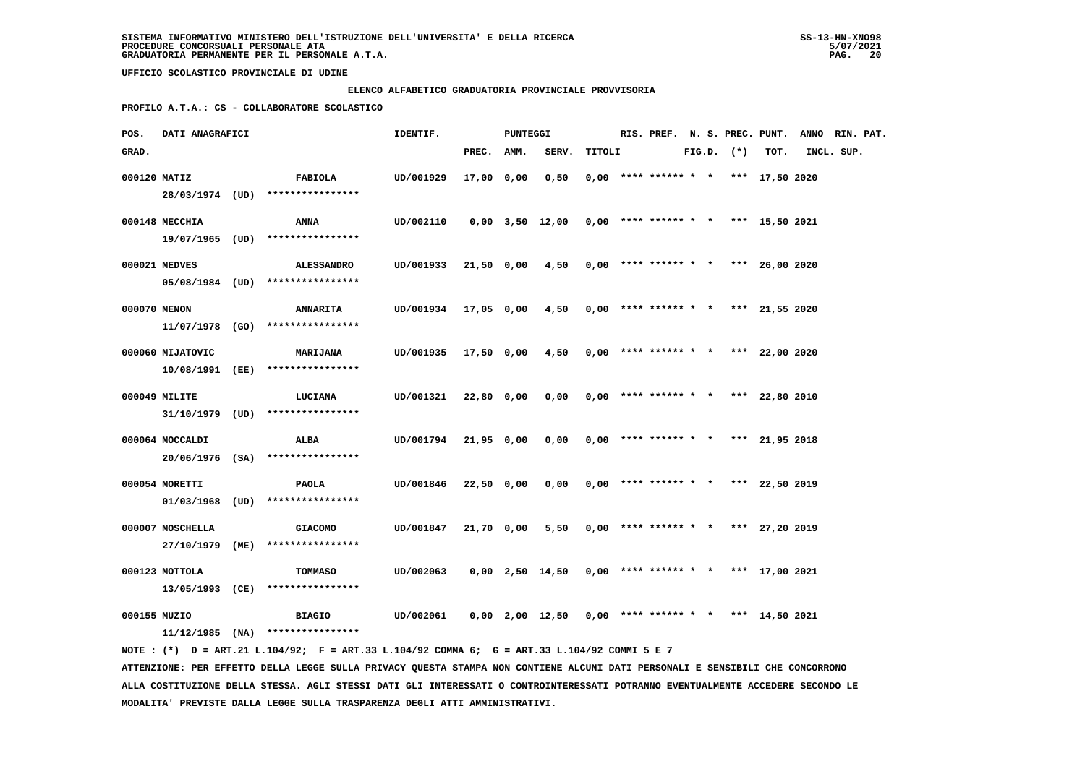#### **ELENCO ALFABETICO GRADUATORIA PROVINCIALE PROVVISORIA**

 **PROFILO A.T.A.: CS - COLLABORATORE SCOLASTICO**

| POS.         | DATI ANAGRAFICI                   |                                                                                             | IDENTIF.             |            | <b>PUNTEGGI</b> |                                                       |        |                                       |  |                |      | RIS. PREF. N. S. PREC. PUNT. ANNO RIN. PAT. |  |
|--------------|-----------------------------------|---------------------------------------------------------------------------------------------|----------------------|------------|-----------------|-------------------------------------------------------|--------|---------------------------------------|--|----------------|------|---------------------------------------------|--|
| GRAD.        |                                   |                                                                                             |                      | PREC.      | AMM.            | SERV.                                                 | TITOLI |                                       |  | $FIG.D.$ $(*)$ | TOT. | INCL. SUP.                                  |  |
| 000120 MATIZ |                                   | <b>FABIOLA</b><br>28/03/1974 (UD) ****************                                          | UD/001929            | 17,00 0,00 |                 | 0,50                                                  |        | $0,00$ **** ****** * * *** 17,50 2020 |  |                |      |                                             |  |
|              | 000148 MECCHIA                    | ANNA<br>$19/07/1965$ (UD) *****************                                                 | UD/002110            |            |                 | $0,00$ 3,50 12,00 0,00 **** ****** * *** 15,50 2021   |        |                                       |  |                |      |                                             |  |
|              | 000021 MEDVES                     | <b>ALESSANDRO</b><br>$05/08/1984$ (UD) *****************                                    | UD/001933            |            |                 | $21,50$ 0,00 $4,50$ 0,00 **** ****** * *** 26,00 2020 |        |                                       |  |                |      |                                             |  |
| 000070 MENON |                                   | <b>ANNARITA</b><br>$11/07/1978$ (GO) ****************                                       | UD/001934 17,05 0,00 |            |                 | 4,50                                                  |        | $0,00$ **** ****** * * *** 21,55 2020 |  |                |      |                                             |  |
|              | 000060 MIJATOVIC                  | <b>MARIJANA</b>                                                                             | UD/001935            | 17,50 0,00 |                 | 4,50                                                  |        | $0.00$ **** ****** * * *** 22.00 2020 |  |                |      |                                             |  |
|              | 000049 MILITE                     | 10/08/1991 (EE) ****************<br><b>LUCIANA</b>                                          | UD/001321            | 22,80 0,00 |                 | 0,00                                                  |        | $0.00$ **** ****** * * *** 22,80 2010 |  |                |      |                                             |  |
|              | 000064 MOCCALDI                   | $31/10/1979$ (UD) ****************<br><b>ALBA</b>                                           | UD/001794            | 21,95 0,00 |                 | 0,00                                                  |        | $0,00$ **** ****** * * *** 21,95 2018 |  |                |      |                                             |  |
|              | 000054 MORETTI                    | 20/06/1976 (SA) *****************<br><b>PAOLA</b>                                           | UD/001846            | 22,50 0,00 |                 | 0,00                                                  |        | $0,00$ **** ****** * * *** 22,50 2019 |  |                |      |                                             |  |
|              | 000007 MOSCHELLA                  | $01/03/1968$ (UD) ****************<br><b>GIACOMO</b>                                        | UD/001847            | 21,70 0,00 |                 | 5,50                                                  |        | $0.00$ **** ****** * * *** 27.20 2019 |  |                |      |                                             |  |
|              | 27/10/1979 (ME)                   | ****************                                                                            |                      |            |                 |                                                       |        |                                       |  |                |      |                                             |  |
|              | 000123 MOTTOLA<br>13/05/1993 (CE) | <b>TOMMASO</b><br>****************                                                          | UD/002063            |            |                 | $0,00$ 2,50 14,50                                     |        | $0,00$ **** ****** * * *** 17,00 2021 |  |                |      |                                             |  |
| 000155 MUZIO |                                   | <b>BIAGIO</b><br>$11/12/1985$ (NA) ****************                                         | UD/002061            |            |                 | $0,00$ 2,00 12,50 0,00 **** ****** * * *** 14,50 2021 |        |                                       |  |                |      |                                             |  |
|              |                                   | NOTE: (*) D = ART.21 L.104/92; F = ART.33 L.104/92 COMMA 6; G = ART.33 L.104/92 COMMI 5 E 7 |                      |            |                 |                                                       |        |                                       |  |                |      |                                             |  |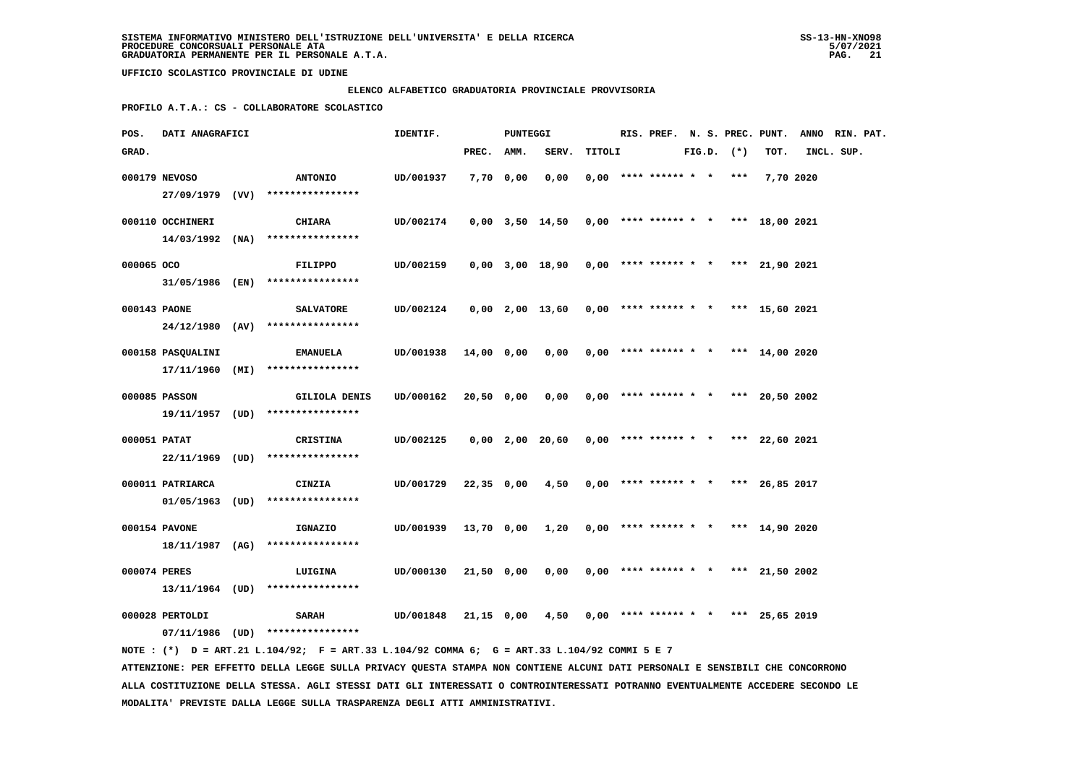#### **ELENCO ALFABETICO GRADUATORIA PROVINCIALE PROVVISORIA**

 **PROFILO A.T.A.: CS - COLLABORATORE SCOLASTICO**

| POS.         | DATI ANAGRAFICI   |                                                                                              | IDENTIF.             |            | PUNTEGGI |                                                       |        |  |  |                |                                       | RIS. PREF. N. S. PREC. PUNT. ANNO RIN. PAT. |  |
|--------------|-------------------|----------------------------------------------------------------------------------------------|----------------------|------------|----------|-------------------------------------------------------|--------|--|--|----------------|---------------------------------------|---------------------------------------------|--|
| GRAD.        |                   |                                                                                              |                      | PREC. AMM. |          | SERV.                                                 | TITOLI |  |  | $FIG.D.$ $(*)$ | TOT.                                  | INCL. SUP.                                  |  |
|              | 000179 NEVOSO     | <b>ANTONIO</b>                                                                               | UD/001937            | 7,70 0,00  |          | 0,00                                                  |        |  |  |                | $0,00$ **** ****** * * *** 7,70 2020  |                                             |  |
|              |                   | 27/09/1979 (VV) ****************                                                             |                      |            |          |                                                       |        |  |  |                |                                       |                                             |  |
|              | 000110 OCCHINERI  | CHIARA                                                                                       | UD/002174            |            |          | $0,00$ 3,50 14,50 0,00 **** ****** * * *** 18,00 2021 |        |  |  |                |                                       |                                             |  |
|              |                   | $14/03/1992$ (NA) ****************                                                           |                      |            |          |                                                       |        |  |  |                |                                       |                                             |  |
| 000065 OCO   |                   | FILIPPO                                                                                      | UD/002159            |            |          | $0,00$ 3,00 18,90 0,00 **** ****** * * *** 21,90 2021 |        |  |  |                |                                       |                                             |  |
|              |                   | 31/05/1986 (EN) ****************                                                             |                      |            |          |                                                       |        |  |  |                |                                       |                                             |  |
| 000143 PAONE |                   | <b>SALVATORE</b>                                                                             | UD/002124            |            |          | $0,00$ 2,00 13,60 0,00 **** ****** * *** 15,60 2021   |        |  |  |                |                                       |                                             |  |
|              |                   | $24/12/1980$ (AV) ****************                                                           |                      |            |          |                                                       |        |  |  |                |                                       |                                             |  |
|              | 000158 PASQUALINI | <b>EMANUELA</b>                                                                              | UD/001938 14,00 0,00 |            |          | $0,00$ $0,00$ **** ****** * * *** 14,00 2020          |        |  |  |                |                                       |                                             |  |
|              |                   | $17/11/1960$ (MI) *****************                                                          |                      |            |          |                                                       |        |  |  |                |                                       |                                             |  |
|              | 000085 PASSON     | <b>GILIOLA DENIS</b>                                                                         | UD/000162            | 20,50 0,00 |          | 0,00                                                  |        |  |  |                | $0,00$ **** ****** * * *** 20,50 2002 |                                             |  |
|              |                   | 19/11/1957 (UD) ****************                                                             |                      |            |          |                                                       |        |  |  |                |                                       |                                             |  |
| 000051 PATAT |                   | CRISTINA                                                                                     | UD/002125            |            |          | 0,00 2,00 20,60                                       |        |  |  |                | $0,00$ **** ****** * * *** 22,60 2021 |                                             |  |
|              |                   | 22/11/1969 (UD) ****************                                                             |                      |            |          |                                                       |        |  |  |                |                                       |                                             |  |
|              | 000011 PATRIARCA  | CINZIA                                                                                       | UD/001729            | 22,35 0,00 |          | 4,50                                                  |        |  |  |                | $0,00$ **** ****** * * *** 26,85 2017 |                                             |  |
|              |                   | $01/05/1963$ (UD) *****************                                                          |                      |            |          |                                                       |        |  |  |                |                                       |                                             |  |
|              | 000154 PAVONE     | IGNAZIO                                                                                      | UD/001939            | 13,70 0,00 |          | 1,20                                                  |        |  |  |                | $0,00$ **** ****** * * *** 14,90 2020 |                                             |  |
|              |                   | 18/11/1987 (AG) ****************                                                             |                      |            |          |                                                       |        |  |  |                |                                       |                                             |  |
| 000074 PERES |                   | LUIGINA                                                                                      | UD/000130            | 21,50 0,00 |          | 0,00                                                  |        |  |  |                | $0,00$ **** ****** * * *** 21,50 2002 |                                             |  |
|              |                   | $13/11/1964$ (UD) ****************                                                           |                      |            |          |                                                       |        |  |  |                |                                       |                                             |  |
|              | 000028 PERTOLDI   | <b>SARAH</b>                                                                                 | UD/001848            |            |          | $21,15$ 0,00 4,50 0,00 **** ****** * *** 25,65 2019   |        |  |  |                |                                       |                                             |  |
|              |                   | 07/11/1986 (UD) ****************                                                             |                      |            |          |                                                       |        |  |  |                |                                       |                                             |  |
|              |                   | NOTE : (*) D = ART.21 L.104/92; F = ART.33 L.104/92 COMMA 6; G = ART.33 L.104/92 COMMI 5 E 7 |                      |            |          |                                                       |        |  |  |                |                                       |                                             |  |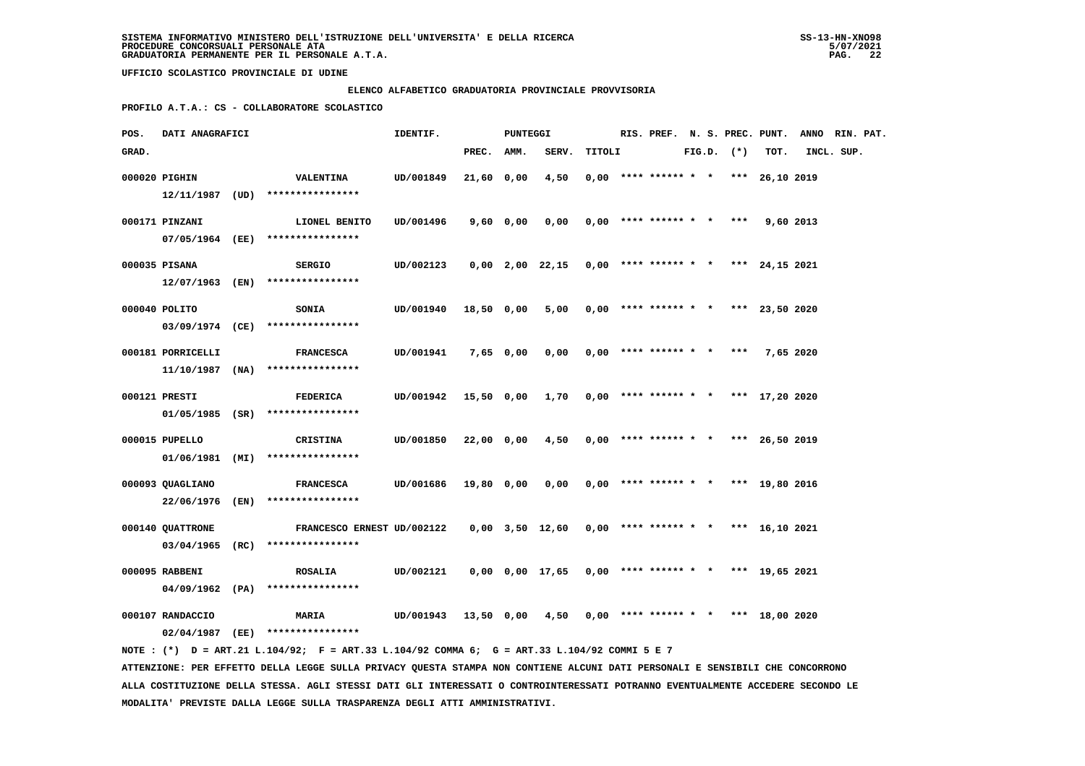### **ELENCO ALFABETICO GRADUATORIA PROVINCIALE PROVVISORIA**

 **PROFILO A.T.A.: CS - COLLABORATORE SCOLASTICO**

| POS.  | DATI ANAGRAFICI   |                                                                                                                                                                                                                              | IDENTIF.  |              | <b>PUNTEGGI</b> |                   |        |                            |  |                |                                       | RIS. PREF. N. S. PREC. PUNT. ANNO RIN. PAT. |  |
|-------|-------------------|------------------------------------------------------------------------------------------------------------------------------------------------------------------------------------------------------------------------------|-----------|--------------|-----------------|-------------------|--------|----------------------------|--|----------------|---------------------------------------|---------------------------------------------|--|
| GRAD. |                   |                                                                                                                                                                                                                              |           | PREC. AMM.   |                 | SERV.             | TITOLI |                            |  | $FIG.D.$ $(*)$ | TOT.                                  | INCL. SUP.                                  |  |
|       | 000020 PIGHIN     | <b>VALENTINA</b>                                                                                                                                                                                                             | UD/001849 | 21,60 0,00   |                 | 4,50              |        | $0,00$ **** ****** * *     |  |                | *** 26,10 2019                        |                                             |  |
|       |                   | $12/11/1987$ (UD) *****************                                                                                                                                                                                          |           |              |                 |                   |        |                            |  |                |                                       |                                             |  |
|       | 000171 PINZANI    | LIONEL BENITO                                                                                                                                                                                                                | UD/001496 | 9,60 0,00    |                 | 0,00              |        | $0,00$ **** ****** * *     |  | ***            | 9,60 2013                             |                                             |  |
|       |                   | 07/05/1964 (EE) ****************                                                                                                                                                                                             |           |              |                 |                   |        |                            |  |                |                                       |                                             |  |
|       |                   |                                                                                                                                                                                                                              |           |              |                 |                   |        |                            |  |                |                                       |                                             |  |
|       | 000035 PISANA     | <b>SERGIO</b>                                                                                                                                                                                                                | UD/002123 |              |                 | $0,00$ 2,00 22,15 |        |                            |  |                | $0,00$ **** ****** * * *** 24,15 2021 |                                             |  |
|       | 12/07/1963 (EN)   | ****************                                                                                                                                                                                                             |           |              |                 |                   |        |                            |  |                |                                       |                                             |  |
|       | 000040 POLITO     | <b>SONIA</b>                                                                                                                                                                                                                 | UD/001940 | 18,50 0,00   |                 | 5,00              |        |                            |  |                | $0,00$ **** ****** * * *** 23,50 2020 |                                             |  |
|       |                   | 03/09/1974 (CE) ****************                                                                                                                                                                                             |           |              |                 |                   |        |                            |  |                |                                       |                                             |  |
|       | 000181 PORRICELLI | <b>FRANCESCA</b>                                                                                                                                                                                                             | UD/001941 |              | 7,65 0,00       | 0,00              |        | $0,00$ **** ****** * * *** |  |                | 7,65 2020                             |                                             |  |
|       | 11/10/1987 (NA)   | ****************                                                                                                                                                                                                             |           |              |                 |                   |        |                            |  |                |                                       |                                             |  |
|       | 000121 PRESTI     | <b>FEDERICA</b>                                                                                                                                                                                                              | UD/001942 | $15,50$ 0,00 |                 | 1,70              |        |                            |  |                | $0,00$ **** ****** * * *** 17,20 2020 |                                             |  |
|       |                   | $01/05/1985$ (SR) ****************                                                                                                                                                                                           |           |              |                 |                   |        |                            |  |                |                                       |                                             |  |
|       |                   |                                                                                                                                                                                                                              |           |              |                 |                   |        |                            |  |                |                                       |                                             |  |
|       | 000015 PUPELLO    | CRISTINA                                                                                                                                                                                                                     | UD/001850 | 22,00 0,00   |                 | 4,50              |        |                            |  |                | $0,00$ **** ****** * * *** 26,50 2019 |                                             |  |
|       |                   | $01/06/1981$ (MI) ****************                                                                                                                                                                                           |           |              |                 |                   |        |                            |  |                |                                       |                                             |  |
|       | 000093 QUAGLIANO  | <b>FRANCESCA</b>                                                                                                                                                                                                             | UD/001686 | 19,80 0,00   |                 | 0,00              |        |                            |  |                | $0,00$ **** ****** * * *** 19,80 2016 |                                             |  |
|       |                   | 22/06/1976 (EN) ****************                                                                                                                                                                                             |           |              |                 |                   |        |                            |  |                |                                       |                                             |  |
|       | 000140 QUATTRONE  | FRANCESCO ERNEST UD/002122                                                                                                                                                                                                   |           |              |                 | 0,00 3,50 12,60   |        | $0,00$ **** ****** * *     |  |                | *** 16,10 2021                        |                                             |  |
|       |                   | 03/04/1965 (RC) ****************                                                                                                                                                                                             |           |              |                 |                   |        |                            |  |                |                                       |                                             |  |
|       | 000095 RABBENI    | <b>ROSALIA</b>                                                                                                                                                                                                               | UD/002121 |              |                 | 0,00 0,00 17,65   |        | $0,00$ **** ****** * *     |  |                | *** 19,65 2021                        |                                             |  |
|       |                   | $04/09/1962$ (PA) ****************                                                                                                                                                                                           |           |              |                 |                   |        |                            |  |                |                                       |                                             |  |
|       |                   |                                                                                                                                                                                                                              |           |              |                 |                   |        |                            |  |                |                                       |                                             |  |
|       | 000107 RANDACCIO  | <b>MARIA</b>                                                                                                                                                                                                                 | UD/001943 | 13,50 0,00   |                 | 4,50              |        |                            |  |                | $0,00$ **** ****** * * *** 18,00 2020 |                                             |  |
|       |                   | 02/04/1987 (EE) ****************                                                                                                                                                                                             |           |              |                 |                   |        |                            |  |                |                                       |                                             |  |
|       |                   | NOTE: (*) D = ART.21 L.104/92; F = ART.33 L.104/92 COMMA 6; G = ART.33 L.104/92 COMMI 5 E 7<br>ATTENZIONE: PER EFFETTO DELLA LEGGE SULLA PRIVACY QUESTA STAMPA NON CONTIENE ALCUNI DATI PERSONALI E SENSIBILI CHE CONCORRONO |           |              |                 |                   |        |                            |  |                |                                       |                                             |  |
|       |                   |                                                                                                                                                                                                                              |           |              |                 |                   |        |                            |  |                |                                       |                                             |  |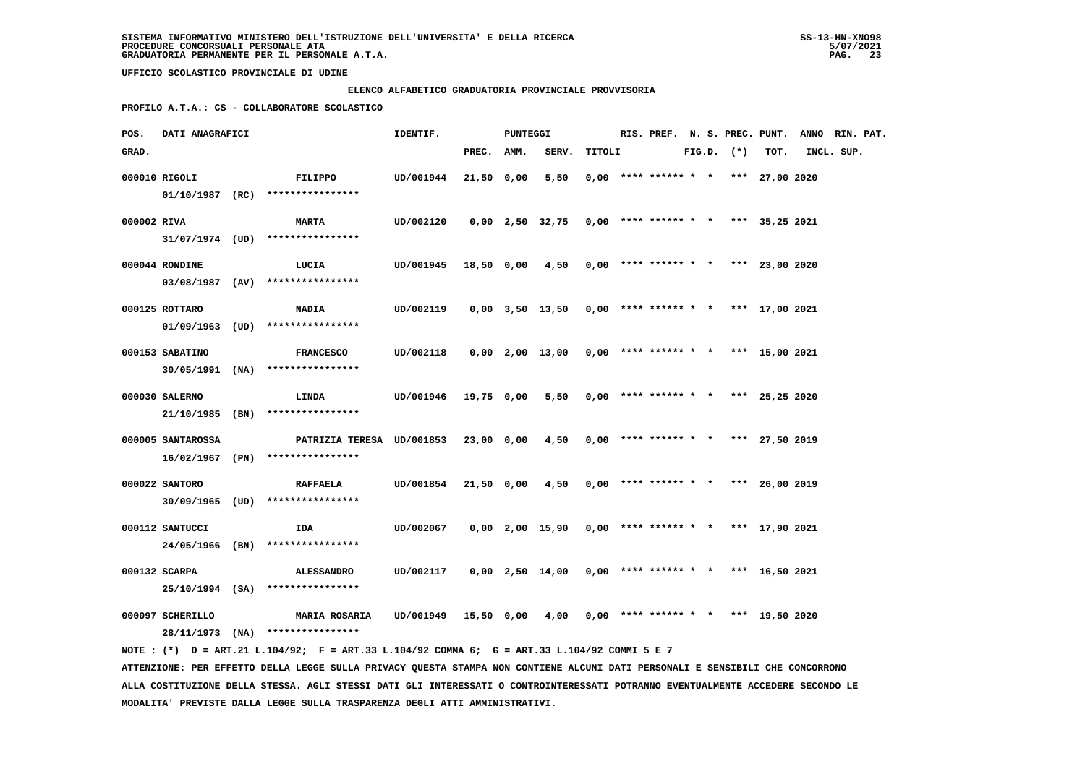### **ELENCO ALFABETICO GRADUATORIA PROVINCIALE PROVVISORIA**

 **PROFILO A.T.A.: CS - COLLABORATORE SCOLASTICO**

| POS.        | DATI ANAGRAFICI   |                                                                                                                               | IDENTIF.  |            | <b>PUNTEGGI</b> |                   |        |                                       |  |                |      | RIS. PREF. N. S. PREC. PUNT. ANNO RIN. PAT. |  |
|-------------|-------------------|-------------------------------------------------------------------------------------------------------------------------------|-----------|------------|-----------------|-------------------|--------|---------------------------------------|--|----------------|------|---------------------------------------------|--|
| GRAD.       |                   |                                                                                                                               |           | PREC.      | AMM.            | SERV.             | TITOLI |                                       |  | $FIG.D.$ $(*)$ | TOT. | INCL. SUP.                                  |  |
|             | 000010 RIGOLI     | FILIPPO                                                                                                                       | UD/001944 | 21,50 0,00 |                 | 5,50              |        | $0,00$ **** ****** * * *** 27,00 2020 |  |                |      |                                             |  |
|             |                   | $01/10/1987$ (RC) ****************                                                                                            |           |            |                 |                   |        |                                       |  |                |      |                                             |  |
| 000002 RIVA |                   | <b>MARTA</b>                                                                                                                  | UD/002120 |            |                 | $0,00$ 2,50 32,75 |        | $0,00$ **** ****** * * *** 35,25 2021 |  |                |      |                                             |  |
|             |                   | $31/07/1974$ (UD) ****************                                                                                            |           |            |                 |                   |        |                                       |  |                |      |                                             |  |
|             | 000044 RONDINE    | LUCIA                                                                                                                         | UD/001945 | 18,50 0,00 |                 | 4,50              |        | $0,00$ **** ****** * * *** 23,00 2020 |  |                |      |                                             |  |
|             | 03/08/1987 (AV)   | ****************                                                                                                              |           |            |                 |                   |        |                                       |  |                |      |                                             |  |
|             |                   |                                                                                                                               |           |            |                 |                   |        |                                       |  |                |      |                                             |  |
|             | 000125 ROTTARO    | <b>NADIA</b>                                                                                                                  | UD/002119 |            |                 | 0,00 3,50 13,50   |        | $0,00$ **** ****** * * *** 17,00 2021 |  |                |      |                                             |  |
|             | 01/09/1963 (UD)   | ****************                                                                                                              |           |            |                 |                   |        |                                       |  |                |      |                                             |  |
|             | 000153 SABATINO   | <b>FRANCESCO</b>                                                                                                              | UD/002118 |            |                 | 0,00 2,00 13,00   |        | $0,00$ **** ****** * * *** 15,00 2021 |  |                |      |                                             |  |
|             |                   | 30/05/1991 (NA) ****************                                                                                              |           |            |                 |                   |        |                                       |  |                |      |                                             |  |
|             | 000030 SALERNO    | LINDA                                                                                                                         | UD/001946 | 19,75 0,00 |                 | 5,50              |        | $0,00$ **** ****** * * *** 25,25 2020 |  |                |      |                                             |  |
|             |                   | $21/10/1985$ (BN) *****************                                                                                           |           |            |                 |                   |        |                                       |  |                |      |                                             |  |
|             | 000005 SANTAROSSA | PATRIZIA TERESA UD/001853                                                                                                     |           | 23,00 0,00 |                 | 4,50              |        | $0,00$ **** ****** * * *** 27,50 2019 |  |                |      |                                             |  |
|             |                   | 16/02/1967 (PN) ****************                                                                                              |           |            |                 |                   |        |                                       |  |                |      |                                             |  |
|             |                   |                                                                                                                               |           |            |                 |                   |        |                                       |  |                |      |                                             |  |
|             | 000022 SANTORO    | <b>RAFFAELA</b><br>30/09/1965 (UD) ****************                                                                           | UD/001854 | 21,50 0,00 |                 | 4,50              |        | $0,00$ **** ****** * * *** 26,00 2019 |  |                |      |                                             |  |
|             |                   |                                                                                                                               |           |            |                 |                   |        |                                       |  |                |      |                                             |  |
|             | 000112 SANTUCCI   | IDA                                                                                                                           | UD/002067 |            |                 | $0,00$ 2,00 15,90 |        | $0,00$ **** ****** * * *** 17,90 2021 |  |                |      |                                             |  |
|             |                   | 24/05/1966 (BN) ****************                                                                                              |           |            |                 |                   |        |                                       |  |                |      |                                             |  |
|             | 000132 SCARPA     | <b>ALESSANDRO</b>                                                                                                             | UD/002117 |            |                 | $0,00$ 2,50 14,00 |        | $0,00$ **** ****** * * *** 16,50 2021 |  |                |      |                                             |  |
|             |                   | 25/10/1994 (SA) ****************                                                                                              |           |            |                 |                   |        |                                       |  |                |      |                                             |  |
|             | 000097 SCHERILLO  | <b>MARIA ROSARIA</b>                                                                                                          | UD/001949 | 15,50 0,00 |                 | 4,00              |        | $0,00$ **** ****** * * *** 19,50 2020 |  |                |      |                                             |  |
|             |                   | 28/11/1973 (NA) ****************                                                                                              |           |            |                 |                   |        |                                       |  |                |      |                                             |  |
|             |                   | NOTE: (*) D = ART.21 L.104/92; F = ART.33 L.104/92 COMMA 6; G = ART.33 L.104/92 COMMI 5 E 7                                   |           |            |                 |                   |        |                                       |  |                |      |                                             |  |
|             |                   | ATTENZIONE: PER EFFETTO DELLA LEGGE SULLA PRIVACY QUESTA STAMPA NON CONTIENE ALCUNI DATI PERSONALI E SENSIBILI CHE CONCORRONO |           |            |                 |                   |        |                                       |  |                |      |                                             |  |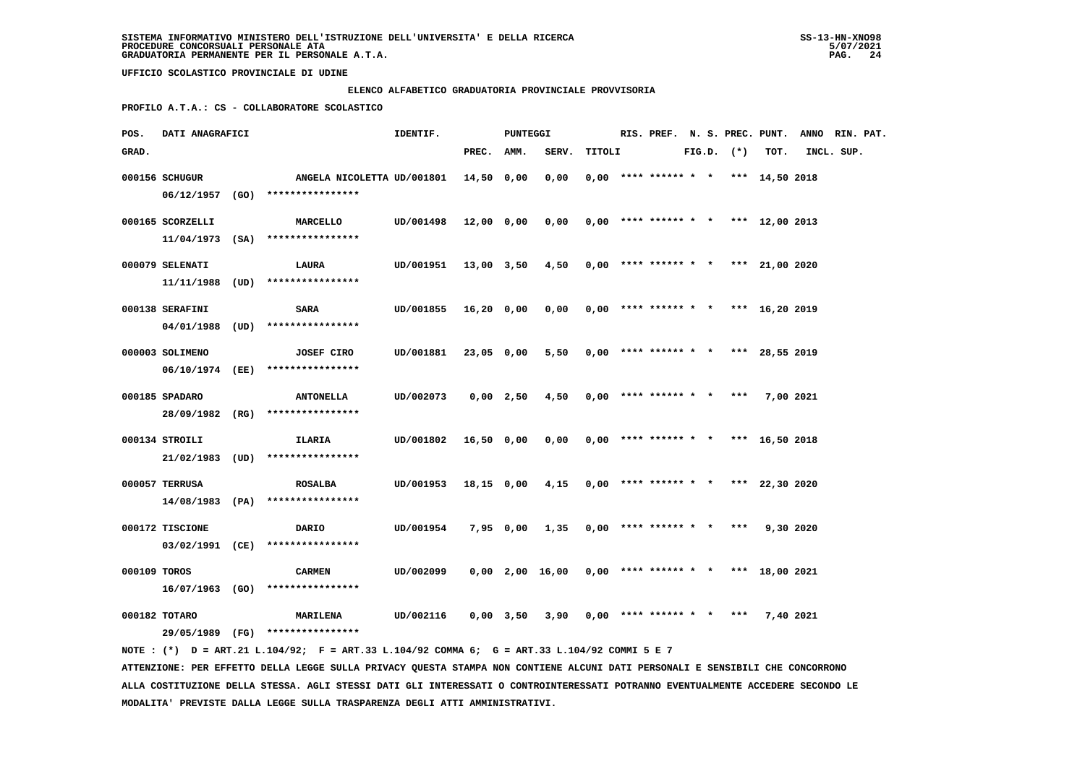#### **ELENCO ALFABETICO GRADUATORIA PROVINCIALE PROVVISORIA**

 **PROFILO A.T.A.: CS - COLLABORATORE SCOLASTICO**

| POS.         | DATI ANAGRAFICI   |                                                                                             | PUNTEGGI<br>IDENTIF.      |            |             |                 |        |                            |  |                | RIS. PREF. N. S. PREC. PUNT.          | ANNO RIN. PAT. |  |
|--------------|-------------------|---------------------------------------------------------------------------------------------|---------------------------|------------|-------------|-----------------|--------|----------------------------|--|----------------|---------------------------------------|----------------|--|
| GRAD.        |                   |                                                                                             |                           | PREC.      | AMM.        | SERV.           | TITOLI |                            |  | $FIG.D.$ $(*)$ | TOT.                                  | INCL. SUP.     |  |
|              | 000156 SCHUGUR    | ANGELA NICOLETTA UD/001801                                                                  |                           | 14,50 0,00 |             | 0,00            |        |                            |  |                | $0,00$ **** ****** * * *** 14,50 2018 |                |  |
|              |                   | 06/12/1957 (GO) ****************                                                            |                           |            |             |                 |        |                            |  |                |                                       |                |  |
|              | 000165 SCORZELLI  | <b>MARCELLO</b>                                                                             | UD/001498                 | 12,00 0,00 |             | 0,00            |        |                            |  |                | $0,00$ **** ****** * * *** 12,00 2013 |                |  |
|              |                   | $11/04/1973$ (SA) ****************                                                          |                           |            |             |                 |        |                            |  |                |                                       |                |  |
|              | 000079 SELENATI   | LAURA                                                                                       | UD/001951 13,00 3,50 4,50 |            |             |                 |        |                            |  |                | $0,00$ **** ****** * * *** 21,00 2020 |                |  |
|              | 11/11/1988        | $(UD)$ *****************                                                                    |                           |            |             |                 |        |                            |  |                |                                       |                |  |
|              | 000138 SERAFINI   | <b>SARA</b>                                                                                 | UD/001855                 | 16,20 0,00 |             | 0,00            |        |                            |  |                | $0,00$ **** ****** * * *** 16,20 2019 |                |  |
|              | $04/01/1988$ (UD) | ****************                                                                            |                           |            |             |                 |        |                            |  |                |                                       |                |  |
|              | 000003 SOLIMENO   | <b>JOSEF CIRO</b>                                                                           | UD/001881                 | 23,05 0,00 |             | 5,50            |        |                            |  |                | $0,00$ **** ****** * * *** 28,55 2019 |                |  |
|              |                   | 06/10/1974 (EE) *****************                                                           |                           |            |             |                 |        |                            |  |                |                                       |                |  |
|              | 000185 SPADARO    | <b>ANTONELLA</b>                                                                            | UD/002073                 |            | $0,00$ 2,50 | 4,50            |        | $0,00$ **** ****** * * *** |  |                | 7,00 2021                             |                |  |
|              |                   | 28/09/1982 (RG) ****************                                                            |                           |            |             |                 |        |                            |  |                |                                       |                |  |
|              | 000134 STROILI    | ILARIA                                                                                      | UD/001802                 | 16,50 0,00 |             | 0,00            |        |                            |  |                | $0,00$ **** ****** * * *** 16,50 2018 |                |  |
|              |                   | 21/02/1983 (UD) ****************                                                            |                           |            |             |                 |        |                            |  |                |                                       |                |  |
|              | 000057 TERRUSA    | <b>ROSALBA</b>                                                                              | UD/001953                 | 18,15 0,00 |             | 4,15            |        |                            |  |                | $0,00$ **** ****** * * *** 22,30 2020 |                |  |
|              |                   | 14/08/1983 (PA) ****************                                                            |                           |            |             |                 |        |                            |  |                |                                       |                |  |
|              | 000172 TISCIONE   | DARIO                                                                                       | UD/001954                 |            |             | 7,95 0,00 1,35  |        |                            |  |                | $0.00$ **** ****** * * *** 9.30 2020  |                |  |
|              |                   | 03/02/1991 (CE) ****************                                                            |                           |            |             |                 |        |                            |  |                |                                       |                |  |
| 000109 TOROS |                   | <b>CARMEN</b>                                                                               | UD/002099                 |            |             | 0,00 2,00 16,00 |        |                            |  |                | $0,00$ **** ****** * * *** 18,00 2021 |                |  |
|              |                   | $16/07/1963$ (GO) ****************                                                          |                           |            |             |                 |        |                            |  |                |                                       |                |  |
|              | 000182 TOTARO     | <b>MARILENA</b>                                                                             | UD/002116                 |            | $0,00$ 3,50 | 3,90            |        | $0,00$ **** ****** * *     |  | $***$          | 7,40 2021                             |                |  |
|              |                   | 29/05/1989 (FG) ****************                                                            |                           |            |             |                 |        |                            |  |                |                                       |                |  |
|              |                   | NOTE: (*) D = ART.21 L.104/92; F = ART.33 L.104/92 COMMA 6; G = ART.33 L.104/92 COMMI 5 E 7 |                           |            |             |                 |        |                            |  |                |                                       |                |  |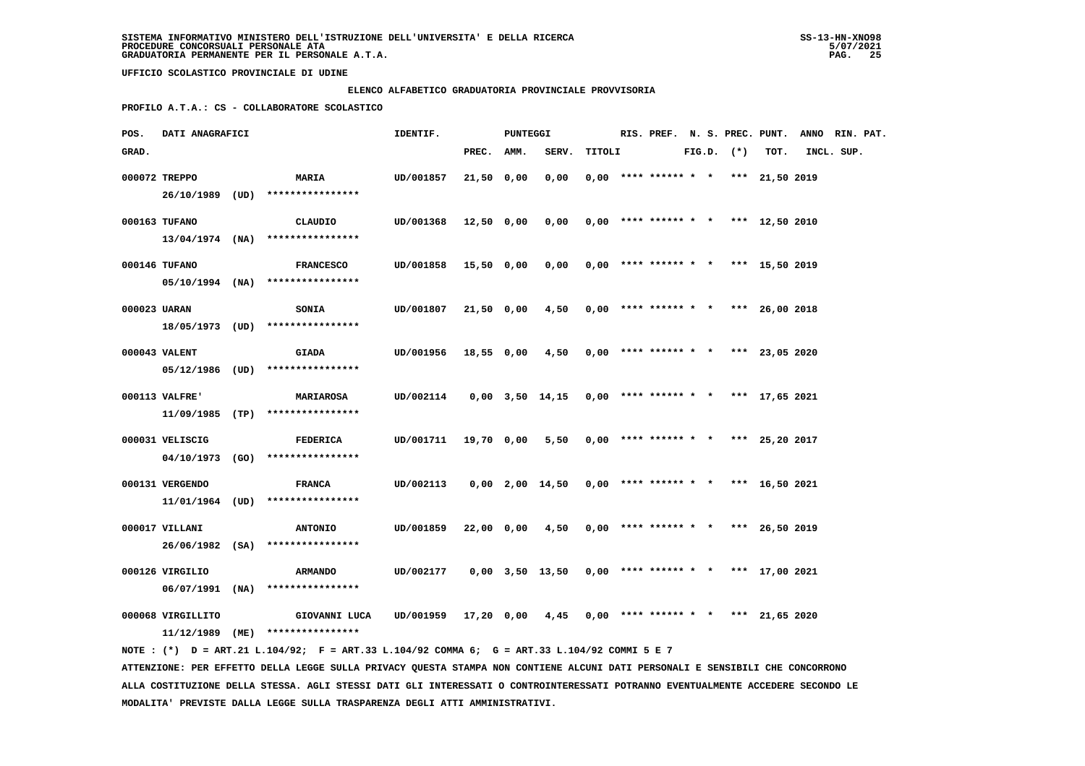## **ELENCO ALFABETICO GRADUATORIA PROVINCIALE PROVVISORIA**

 **PROFILO A.T.A.: CS - COLLABORATORE SCOLASTICO**

| POS.  | DATI ANAGRAFICI   |  |                                                                                             | IDENTIF.                                                              | PUNTEGGI   |  |                                                       | RIS. PREF. N. S. PREC. PUNT. ANNO RIN. PAT. |  |  |  |                |                                       |            |  |
|-------|-------------------|--|---------------------------------------------------------------------------------------------|-----------------------------------------------------------------------|------------|--|-------------------------------------------------------|---------------------------------------------|--|--|--|----------------|---------------------------------------|------------|--|
| GRAD. |                   |  |                                                                                             |                                                                       | PREC. AMM. |  | SERV.                                                 | TITOLI                                      |  |  |  | $FIG.D.$ $(*)$ | TOT.                                  | INCL. SUP. |  |
|       | 000072 TREPPO     |  | <b>MARIA</b>                                                                                | UD/001857                                                             | 21,50 0,00 |  | 0,00                                                  |                                             |  |  |  |                | $0,00$ **** ****** * * *** 21,50 2019 |            |  |
|       |                   |  | 26/10/1989 (UD) ****************                                                            |                                                                       |            |  |                                                       |                                             |  |  |  |                |                                       |            |  |
|       | 000163 TUFANO     |  | CLAUDIO                                                                                     | UD/001368                                                             | 12,50 0,00 |  | 0,00                                                  |                                             |  |  |  |                | $0,00$ **** ****** * * *** 12,50 2010 |            |  |
|       |                   |  | $13/04/1974$ (NA) ****************                                                          |                                                                       |            |  |                                                       |                                             |  |  |  |                |                                       |            |  |
|       |                   |  |                                                                                             |                                                                       |            |  |                                                       |                                             |  |  |  |                |                                       |            |  |
|       | 000146 TUFANO     |  | <b>FRANCESCO</b>                                                                            | UD/001858 15,50 0,00                                                  |            |  | 0,00                                                  |                                             |  |  |  |                | $0,00$ **** ****** * * *** 15,50 2019 |            |  |
|       |                   |  | $05/10/1994$ (NA) ****************                                                          |                                                                       |            |  |                                                       |                                             |  |  |  |                |                                       |            |  |
|       | 000023 UARAN      |  | <b>SONIA</b>                                                                                | UD/001807                                                             | 21,50 0,00 |  | 4,50                                                  |                                             |  |  |  |                | $0,00$ **** ****** * * *** 26,00 2018 |            |  |
|       |                   |  | 18/05/1973 (UD) ****************                                                            |                                                                       |            |  |                                                       |                                             |  |  |  |                |                                       |            |  |
|       | 000043 VALENT     |  | <b>GIADA</b>                                                                                | UD/001956 18,55 0,00 4,50                                             |            |  |                                                       |                                             |  |  |  |                | $0,00$ **** ****** * * *** 23,05 2020 |            |  |
|       |                   |  | 05/12/1986 (UD) ****************                                                            |                                                                       |            |  |                                                       |                                             |  |  |  |                |                                       |            |  |
|       |                   |  |                                                                                             |                                                                       |            |  |                                                       |                                             |  |  |  |                |                                       |            |  |
|       | 000113 VALFRE'    |  | <b>MARIAROSA</b><br>$11/09/1985$ (TP) ****************                                      | UD/002114  0,00  3,50  14,15  0,00  ****  ******  *  ***  17,65  2021 |            |  |                                                       |                                             |  |  |  |                |                                       |            |  |
|       |                   |  |                                                                                             |                                                                       |            |  |                                                       |                                             |  |  |  |                |                                       |            |  |
|       | 000031 VELISCIG   |  | <b>FEDERICA</b>                                                                             | UD/001711 19,70 0,00                                                  |            |  | 5,50                                                  |                                             |  |  |  |                | $0,00$ **** ****** * * *** 25,20 2017 |            |  |
|       |                   |  | $04/10/1973$ (GO) ****************                                                          |                                                                       |            |  |                                                       |                                             |  |  |  |                |                                       |            |  |
|       | 000131 VERGENDO   |  | <b>FRANCA</b>                                                                               | UD/002113  0,00  2,00  14,50  0,00  ****  ******  *  ***  16,50  2021 |            |  |                                                       |                                             |  |  |  |                |                                       |            |  |
|       |                   |  | $11/01/1964$ (UD) ****************                                                          |                                                                       |            |  |                                                       |                                             |  |  |  |                |                                       |            |  |
|       | 000017 VILLANI    |  | <b>ANTONIO</b>                                                                              | UD/001859                                                             |            |  | $22,00$ 0,00 $4,50$ 0,00 **** ****** * *** 26,50 2019 |                                             |  |  |  |                |                                       |            |  |
|       |                   |  | 26/06/1982 (SA) ****************                                                            |                                                                       |            |  |                                                       |                                             |  |  |  |                |                                       |            |  |
|       |                   |  |                                                                                             |                                                                       |            |  |                                                       |                                             |  |  |  |                |                                       |            |  |
|       | 000126 VIRGILIO   |  | <b>ARMANDO</b>                                                                              | 0,00 177 0,00 3,50 13,50 0,00 **** ****** * * *** 17,00 2021          |            |  |                                                       |                                             |  |  |  |                |                                       |            |  |
|       |                   |  | $06/07/1991$ (NA) ****************                                                          |                                                                       |            |  |                                                       |                                             |  |  |  |                |                                       |            |  |
|       | 000068 VIRGILLITO |  | GIOVANNI LUCA UD/001959 17,20 0,00 4,45 0,00 **** ****** * *** 21,65 2020                   |                                                                       |            |  |                                                       |                                             |  |  |  |                |                                       |            |  |
|       |                   |  | $11/12/1989$ (ME) *****************                                                         |                                                                       |            |  |                                                       |                                             |  |  |  |                |                                       |            |  |
|       |                   |  | NOTE: (*) D = ART.21 L.104/92; F = ART.33 L.104/92 COMMA 6; G = ART.33 L.104/92 COMMI 5 E 7 |                                                                       |            |  |                                                       |                                             |  |  |  |                |                                       |            |  |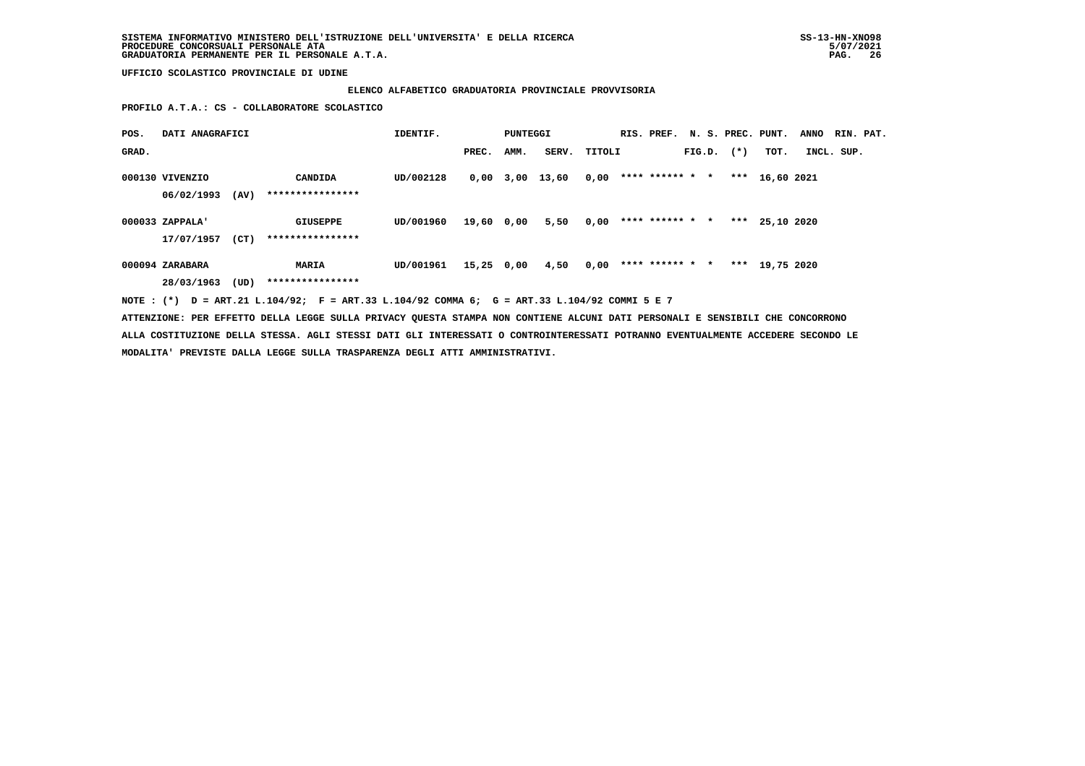### **ELENCO ALFABETICO GRADUATORIA PROVINCIALE PROVVISORIA**

 **PROFILO A.T.A.: CS - COLLABORATORE SCOLASTICO**

| POS.  | DATI ANAGRAFICI | IDENTIF.<br>PUNTEGGI |                                                                                             |           |            |      |                 |        | RIS. PREF. N. S. PREC. PUNT. | <b>ANNO</b> | RIN. PAT.      |                  |            |  |
|-------|-----------------|----------------------|---------------------------------------------------------------------------------------------|-----------|------------|------|-----------------|--------|------------------------------|-------------|----------------|------------------|------------|--|
| GRAD. |                 |                      |                                                                                             |           | PREC.      | AMM. | SERV.           | TITOLI |                              |             | $FIG.D.$ $(*)$ | TOT.             | INCL. SUP. |  |
|       | 000130 VIVENZIO |                      | CANDIDA                                                                                     | UD/002128 |            |      | 0,00 3,00 13,60 | 0,00   | **** ****** * *              |             |                | *** $16,60$ 2021 |            |  |
|       | 06/02/1993      | (AV)                 | ****************                                                                            |           |            |      |                 |        |                              |             |                |                  |            |  |
|       | 000033 ZAPPALA' |                      | GIUSEPPE                                                                                    | UD/001960 | 19,60 0,00 |      | 5,50            | 0,00   | **** ****** * *              |             |                | *** $25.10$ 2020 |            |  |
|       | 17/07/1957      | (CT)                 | ****************                                                                            |           |            |      |                 |        |                              |             |                |                  |            |  |
|       | 000094 ZARABARA |                      | MARIA                                                                                       | UD/001961 | 15,25 0,00 |      | 4,50            | 0,00   | **** ****** * *              |             |                | *** 19,75 2020   |            |  |
|       | 28/03/1963      | (UD)                 | ****************                                                                            |           |            |      |                 |        |                              |             |                |                  |            |  |
|       |                 |                      | NOTE: (*) D = ART.21 L.104/92; F = ART.33 L.104/92 COMMA 6; G = ART.33 L.104/92 COMMI 5 E 7 |           |            |      |                 |        |                              |             |                |                  |            |  |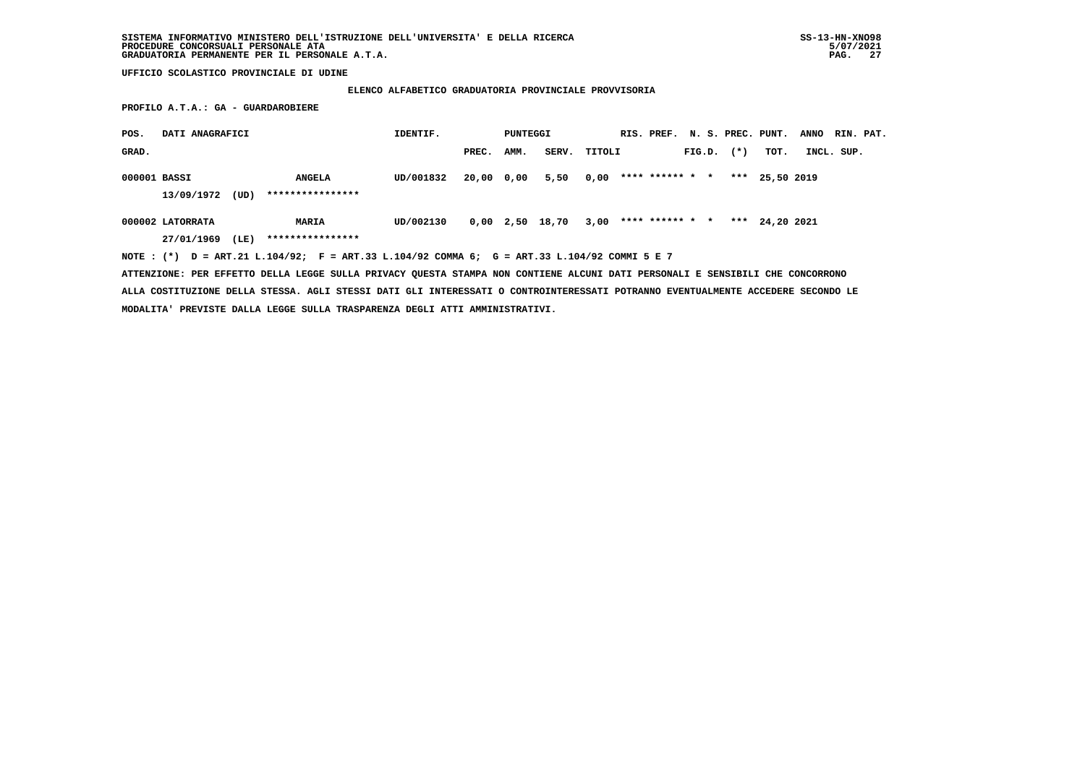### **ELENCO ALFABETICO GRADUATORIA PROVINCIALE PROVVISORIA**

 **PROFILO A.T.A.: GA - GUARDAROBIERE**

| POS.         | DATI ANAGRAFICI  |      |                                   | IDENTIF.  |            | PUNTEGGI    |       | RIS. PREF. N. S. PREC. PUNT. |  |                 |        |       | <b>ANNO</b> |  | RIN. PAT.  |  |
|--------------|------------------|------|-----------------------------------|-----------|------------|-------------|-------|------------------------------|--|-----------------|--------|-------|-------------|--|------------|--|
| GRAD.        |                  |      |                                   |           | PREC.      | AMM.        | SERV. | TITOLI                       |  |                 | FIG.D. | $(*)$ | тот.        |  | INCL. SUP. |  |
| 000001 BASSI | 13/09/1972       | (UD) | <b>ANGELA</b><br>**************** | UD/001832 | 20,00 0,00 |             | 5,50  | 0,00                         |  | **** ****** * * |        | ***   | 25,50 2019  |  |            |  |
|              | 000002 LATORRATA |      | <b>MARIA</b>                      | UD/002130 |            | $0,00$ 2,50 | 18,70 | 3,00                         |  | **** ****** * * |        | ***   | 24,20 2021  |  |            |  |
|              | 27/01/1969       | (LE) | ****************                  |           |            |             |       |                              |  |                 |        |       |             |  |            |  |

 **NOTE : (\*) D = ART.21 L.104/92; F = ART.33 L.104/92 COMMA 6; G = ART.33 L.104/92 COMMI 5 E 7**